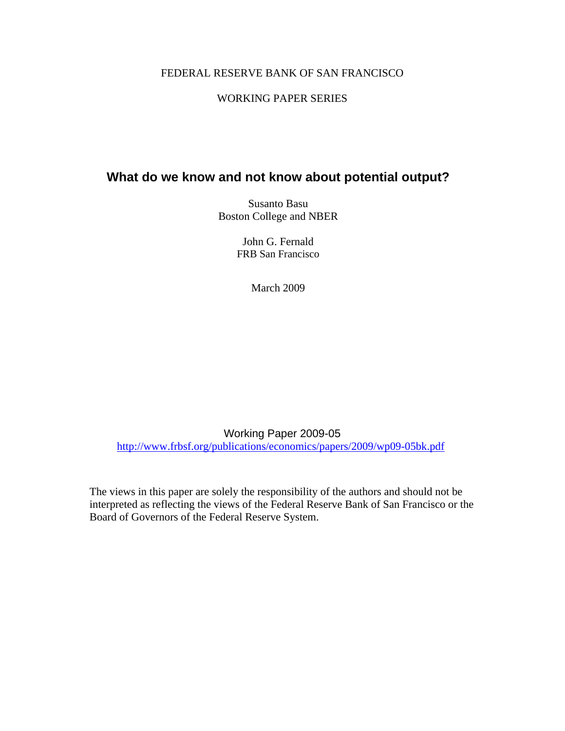### FEDERAL RESERVE BANK OF SAN FRANCISCO

## WORKING PAPER SERIES

# **What do we know and not know about potential output?**

Susanto Basu Boston College and NBER

> John G. Fernald FRB San Francisco

> > March 2009

Working Paper 2009-05 http://www.frbsf.org/publications/economics/papers/2009/wp09-05bk.pdf

The views in this paper are solely the responsibility of the authors and should not be interpreted as reflecting the views of the Federal Reserve Bank of San Francisco or the Board of Governors of the Federal Reserve System.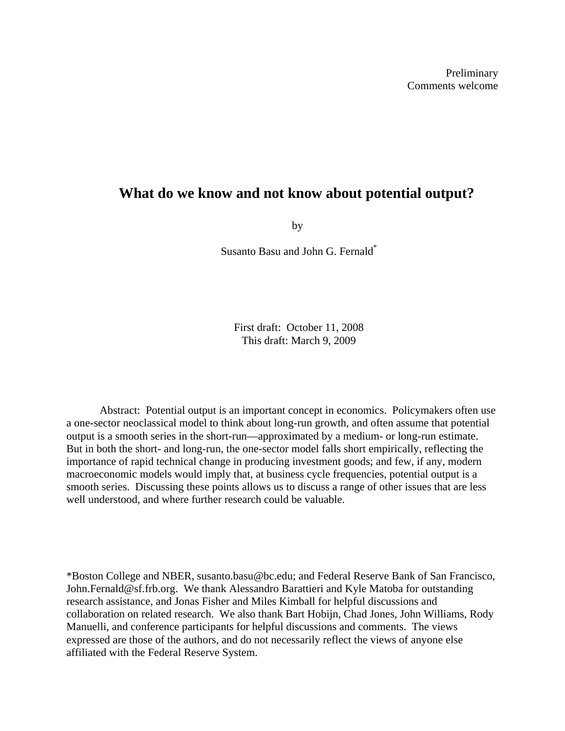# **What do we know and not know about potential output?**

by

Susanto Basu and John G. Fernald\*

First draft: October 11, 2008 This draft: March 9, 2009

Abstract: Potential output is an important concept in economics. Policymakers often use a one-sector neoclassical model to think about long-run growth, and often assume that potential output is a smooth series in the short-run—approximated by a medium- or long-run estimate. But in both the short- and long-run, the one-sector model falls short empirically, reflecting the importance of rapid technical change in producing investment goods; and few, if any, modern macroeconomic models would imply that, at business cycle frequencies, potential output is a smooth series. Discussing these points allows us to discuss a range of other issues that are less well understood, and where further research could be valuable.

\*Boston College and NBER, susanto.basu@bc.edu; and Federal Reserve Bank of San Francisco, John.Fernald@sf.frb.org. We thank Alessandro Barattieri and Kyle Matoba for outstanding research assistance, and Jonas Fisher and Miles Kimball for helpful discussions and collaboration on related research. We also thank Bart Hobijn, Chad Jones, John Williams, Rody Manuelli, and conference participants for helpful discussions and comments. The views expressed are those of the authors, and do not necessarily reflect the views of anyone else affiliated with the Federal Reserve System.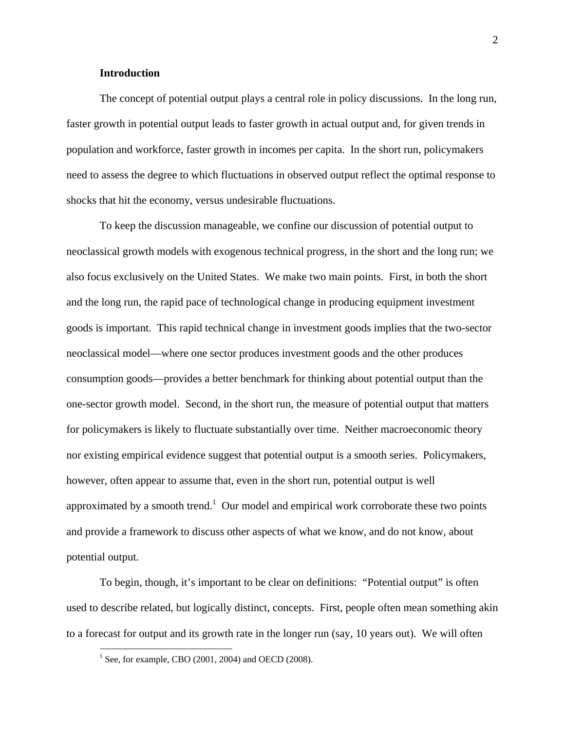### **Introduction**

The concept of potential output plays a central role in policy discussions. In the long run, faster growth in potential output leads to faster growth in actual output and, for given trends in population and workforce, faster growth in incomes per capita. In the short run, policymakers need to assess the degree to which fluctuations in observed output reflect the optimal response to shocks that hit the economy, versus undesirable fluctuations.

To keep the discussion manageable, we confine our discussion of potential output to neoclassical growth models with exogenous technical progress, in the short and the long run; we also focus exclusively on the United States. We make two main points. First, in both the short and the long run, the rapid pace of technological change in producing equipment investment goods is important. This rapid technical change in investment goods implies that the two-sector neoclassical model—where one sector produces investment goods and the other produces consumption goods—provides a better benchmark for thinking about potential output than the one-sector growth model. Second, in the short run, the measure of potential output that matters for policymakers is likely to fluctuate substantially over time. Neither macroeconomic theory nor existing empirical evidence suggest that potential output is a smooth series. Policymakers, however, often appear to assume that, even in the short run, potential output is well approximated by a smooth trend.<sup>1</sup> Our model and empirical work corroborate these two points and provide a framework to discuss other aspects of what we know, and do not know, about potential output.

To begin, though, it's important to be clear on definitions: "Potential output" is often used to describe related, but logically distinct, concepts. First, people often mean something akin to a forecast for output and its growth rate in the longer run (say, 10 years out). We will often

<sup>&</sup>lt;sup>1</sup> See, for example, CBO (2001, 2004) and OECD (2008).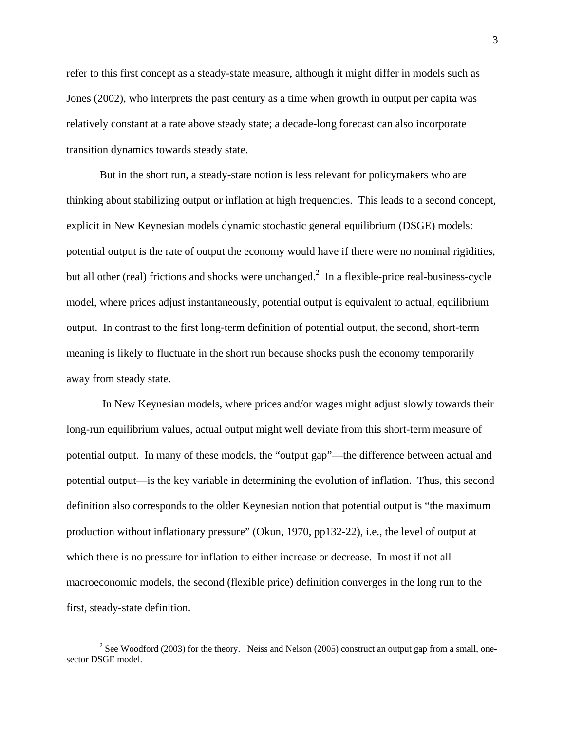refer to this first concept as a steady-state measure, although it might differ in models such as Jones (2002), who interprets the past century as a time when growth in output per capita was relatively constant at a rate above steady state; a decade-long forecast can also incorporate transition dynamics towards steady state.

But in the short run, a steady-state notion is less relevant for policymakers who are thinking about stabilizing output or inflation at high frequencies. This leads to a second concept, explicit in New Keynesian models dynamic stochastic general equilibrium (DSGE) models: potential output is the rate of output the economy would have if there were no nominal rigidities, but all other (real) frictions and shocks were unchanged.<sup>2</sup> In a flexible-price real-business-cycle model, where prices adjust instantaneously, potential output is equivalent to actual, equilibrium output. In contrast to the first long-term definition of potential output, the second, short-term meaning is likely to fluctuate in the short run because shocks push the economy temporarily away from steady state.

 In New Keynesian models, where prices and/or wages might adjust slowly towards their long-run equilibrium values, actual output might well deviate from this short-term measure of potential output. In many of these models, the "output gap"—the difference between actual and potential output—is the key variable in determining the evolution of inflation. Thus, this second definition also corresponds to the older Keynesian notion that potential output is "the maximum production without inflationary pressure" (Okun, 1970, pp132-22), i.e., the level of output at which there is no pressure for inflation to either increase or decrease. In most if not all macroeconomic models, the second (flexible price) definition converges in the long run to the first, steady-state definition.

<sup>&</sup>lt;sup>2</sup> See Woodford (2003) for the theory. Neiss and Nelson (2005) construct an output gap from a small, onesector DSGE model.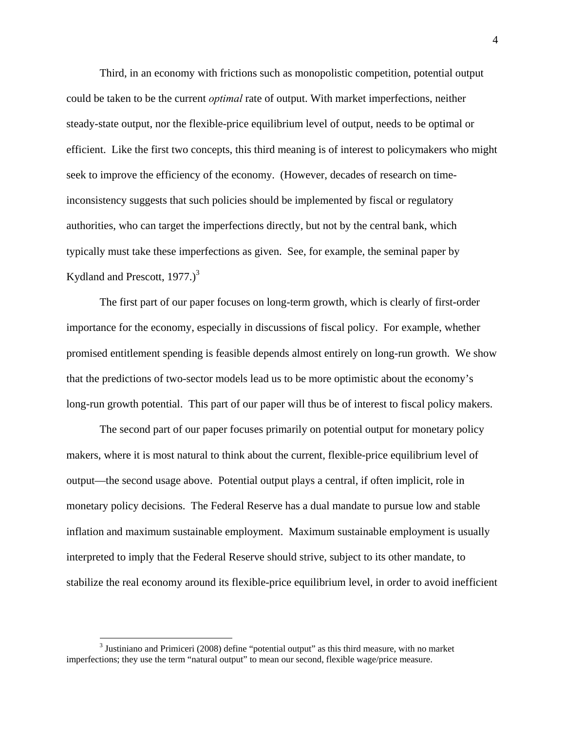Third, in an economy with frictions such as monopolistic competition, potential output could be taken to be the current *optimal* rate of output. With market imperfections, neither steady-state output, nor the flexible-price equilibrium level of output, needs to be optimal or efficient. Like the first two concepts, this third meaning is of interest to policymakers who might seek to improve the efficiency of the economy. (However, decades of research on timeinconsistency suggests that such policies should be implemented by fiscal or regulatory authorities, who can target the imperfections directly, but not by the central bank, which typically must take these imperfections as given. See, for example, the seminal paper by Kydland and Prescott,  $1977.$ )<sup>3</sup>

The first part of our paper focuses on long-term growth, which is clearly of first-order importance for the economy, especially in discussions of fiscal policy. For example, whether promised entitlement spending is feasible depends almost entirely on long-run growth. We show that the predictions of two-sector models lead us to be more optimistic about the economy's long-run growth potential. This part of our paper will thus be of interest to fiscal policy makers.

The second part of our paper focuses primarily on potential output for monetary policy makers, where it is most natural to think about the current, flexible-price equilibrium level of output—the second usage above. Potential output plays a central, if often implicit, role in monetary policy decisions. The Federal Reserve has a dual mandate to pursue low and stable inflation and maximum sustainable employment. Maximum sustainable employment is usually interpreted to imply that the Federal Reserve should strive, subject to its other mandate, to stabilize the real economy around its flexible-price equilibrium level, in order to avoid inefficient

 $3$  Justiniano and Primiceri (2008) define "potential output" as this third measure, with no market imperfections; they use the term "natural output" to mean our second, flexible wage/price measure.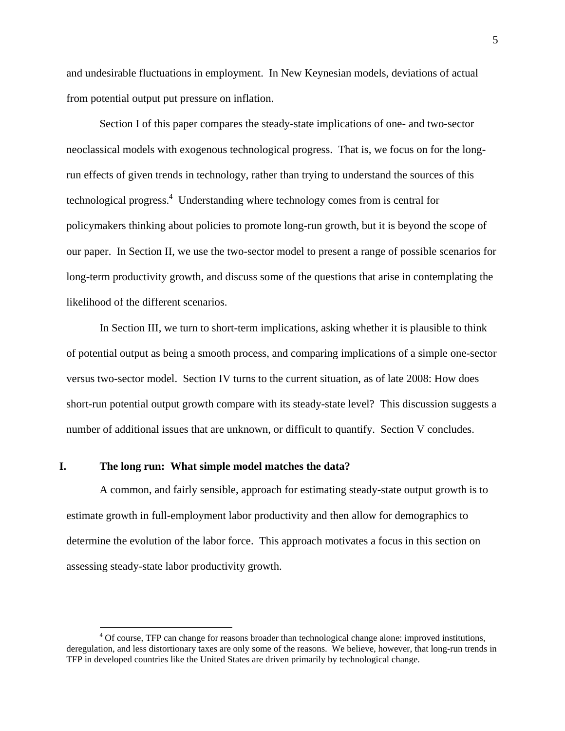and undesirable fluctuations in employment. In New Keynesian models, deviations of actual from potential output put pressure on inflation.

Section I of this paper compares the steady-state implications of one- and two-sector neoclassical models with exogenous technological progress. That is, we focus on for the longrun effects of given trends in technology, rather than trying to understand the sources of this technological progress.<sup>4</sup> Understanding where technology comes from is central for policymakers thinking about policies to promote long-run growth, but it is beyond the scope of our paper. In Section II, we use the two-sector model to present a range of possible scenarios for long-term productivity growth, and discuss some of the questions that arise in contemplating the likelihood of the different scenarios.

In Section III, we turn to short-term implications, asking whether it is plausible to think of potential output as being a smooth process, and comparing implications of a simple one-sector versus two-sector model. Section IV turns to the current situation, as of late 2008: How does short-run potential output growth compare with its steady-state level? This discussion suggests a number of additional issues that are unknown, or difficult to quantify. Section V concludes.

### **I. The long run: What simple model matches the data?**

 $\overline{a}$ 

A common, and fairly sensible, approach for estimating steady-state output growth is to estimate growth in full-employment labor productivity and then allow for demographics to determine the evolution of the labor force. This approach motivates a focus in this section on assessing steady-state labor productivity growth.

<sup>&</sup>lt;sup>4</sup> Of course, TFP can change for reasons broader than technological change alone: improved institutions, deregulation, and less distortionary taxes are only some of the reasons. We believe, however, that long-run trends in TFP in developed countries like the United States are driven primarily by technological change.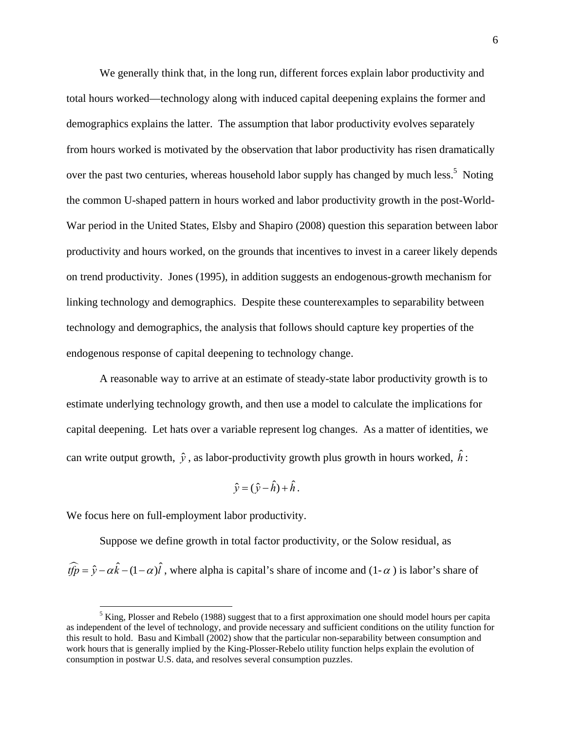We generally think that, in the long run, different forces explain labor productivity and total hours worked—technology along with induced capital deepening explains the former and demographics explains the latter. The assumption that labor productivity evolves separately from hours worked is motivated by the observation that labor productivity has risen dramatically over the past two centuries, whereas household labor supply has changed by much less.<sup>5</sup> Noting the common U-shaped pattern in hours worked and labor productivity growth in the post-World-War period in the United States, Elsby and Shapiro (2008) question this separation between labor productivity and hours worked, on the grounds that incentives to invest in a career likely depends on trend productivity. Jones (1995), in addition suggests an endogenous-growth mechanism for linking technology and demographics. Despite these counterexamples to separability between technology and demographics, the analysis that follows should capture key properties of the endogenous response of capital deepening to technology change.

A reasonable way to arrive at an estimate of steady-state labor productivity growth is to estimate underlying technology growth, and then use a model to calculate the implications for capital deepening. Let hats over a variable represent log changes. As a matter of identities, we can write output growth,  $\hat{y}$ , as labor-productivity growth plus growth in hours worked,  $\hat{h}$ :

$$
\hat{y} = (\hat{y} - \hat{h}) + \hat{h}.
$$

We focus here on full-employment labor productivity.

 $\overline{a}$ 

Suppose we define growth in total factor productivity, or the Solow residual, as  $\hat{tfp} = \hat{y} - \alpha \hat{k} - (1 - \alpha)\hat{l}$ , where alpha is capital's share of income and  $(1 - \alpha)$  is labor's share of

 $<sup>5</sup>$  King, Plosser and Rebelo (1988) suggest that to a first approximation one should model hours per capita</sup> as independent of the level of technology, and provide necessary and sufficient conditions on the utility function for this result to hold. Basu and Kimball (2002) show that the particular non-separability between consumption and work hours that is generally implied by the King-Plosser-Rebelo utility function helps explain the evolution of consumption in postwar U.S. data, and resolves several consumption puzzles.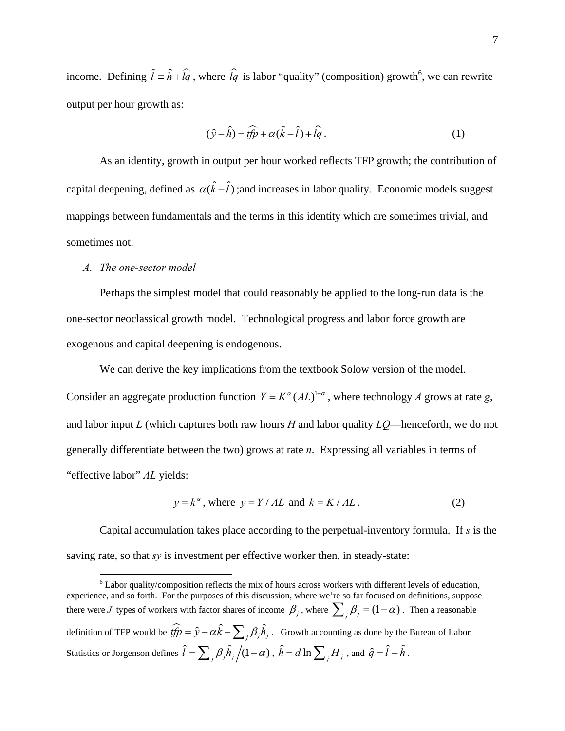income. Defining  $\hat{l} = \hat{h} + \hat{l}q$ , where  $\hat{l}q$  is labor "quality" (composition) growth<sup>6</sup>, we can rewrite output per hour growth as:

$$
(\hat{y} - \hat{h}) = \widehat{tfp} + \alpha(\hat{k} - \hat{l}) + \widehat{lg}.
$$
 (1)

As an identity, growth in output per hour worked reflects TFP growth; the contribution of capital deepening, defined as  $\alpha(\hat{k} - \hat{l})$ ; and increases in labor quality. Economic models suggest mappings between fundamentals and the terms in this identity which are sometimes trivial, and sometimes not.

#### *A. The one-sector model*

Perhaps the simplest model that could reasonably be applied to the long-run data is the one-sector neoclassical growth model. Technological progress and labor force growth are exogenous and capital deepening is endogenous.

We can derive the key implications from the textbook Solow version of the model. Consider an aggregate production function  $Y = K^{\alpha} (AL)^{1-\alpha}$ , where technology *A* grows at rate *g*, and labor input *L* (which captures both raw hours *H* and labor quality *LQ*—henceforth, we do not generally differentiate between the two) grows at rate *n*. Expressing all variables in terms of "effective labor" *AL* yields:

$$
y = k^{\alpha}
$$
, where  $y = Y / AL$  and  $k = K / AL$ . (2)

Capital accumulation takes place according to the perpetual-inventory formula. If *s* is the saving rate, so that *sy* is investment per effective worker then, in steady-state:

 $\overline{a}$  $6$  Labor quality/composition reflects the mix of hours across workers with different levels of education, experience, and so forth. For the purposes of this discussion, where we're so far focused on definitions, suppose there were *J* types of workers with factor shares of income  $\beta$  *j*, where  $\sum_{i} \beta$  =  $(1-\alpha)$ . Then a reasonable definition of TFP would be  $\widehat{tfp} = \hat{y} - \alpha \hat{k} - \sum_{i} \beta_{i} \hat{h}_{i}$ . Growth accounting as done by the Bureau of Labor Statistics or Jorgenson defines  $\hat{l} = \sum_j \beta_j \hat{h}_j \left/ (1 - \alpha) \right., \ \hat{h} = d \ln \sum_j H_j$  , and  $\hat{q} = \hat{l} - \hat{h}$ .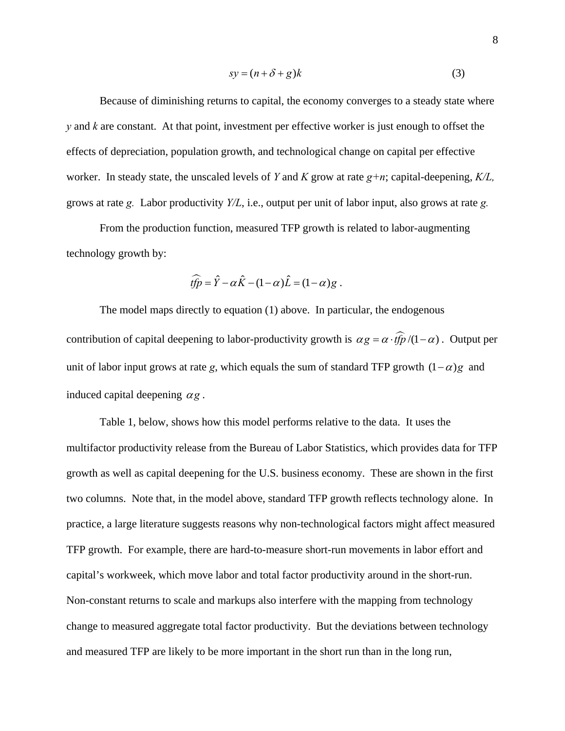$$
sy = (n + \delta + g)k
$$
 (3)

Because of diminishing returns to capital, the economy converges to a steady state where *y* and *k* are constant. At that point, investment per effective worker is just enough to offset the effects of depreciation, population growth, and technological change on capital per effective worker. In steady state, the unscaled levels of *Y* and *K* grow at rate *g+n*; capital-deepening, *K/L,*  grows at rate *g.* Labor productivity *Y/L*, i.e., output per unit of labor input, also grows at rate *g.* 

From the production function, measured TFP growth is related to labor-augmenting technology growth by:

$$
\widehat{tfp} = \widehat{Y} - \alpha \widehat{K} - (1 - \alpha) \widehat{L} = (1 - \alpha)g.
$$

The model maps directly to equation (1) above. In particular, the endogenous contribution of capital deepening to labor-productivity growth is  $\alpha g = \alpha \cdot f\hat{f}p/(1-\alpha)$ . Output per unit of labor input grows at rate *g*, which equals the sum of standard TFP growth  $(1 - \alpha)g$  and induced capital deepening  $\alpha$ *g*.

Table 1, below, shows how this model performs relative to the data. It uses the multifactor productivity release from the Bureau of Labor Statistics, which provides data for TFP growth as well as capital deepening for the U.S. business economy. These are shown in the first two columns. Note that, in the model above, standard TFP growth reflects technology alone. In practice, a large literature suggests reasons why non-technological factors might affect measured TFP growth. For example, there are hard-to-measure short-run movements in labor effort and capital's workweek, which move labor and total factor productivity around in the short-run. Non-constant returns to scale and markups also interfere with the mapping from technology change to measured aggregate total factor productivity. But the deviations between technology and measured TFP are likely to be more important in the short run than in the long run,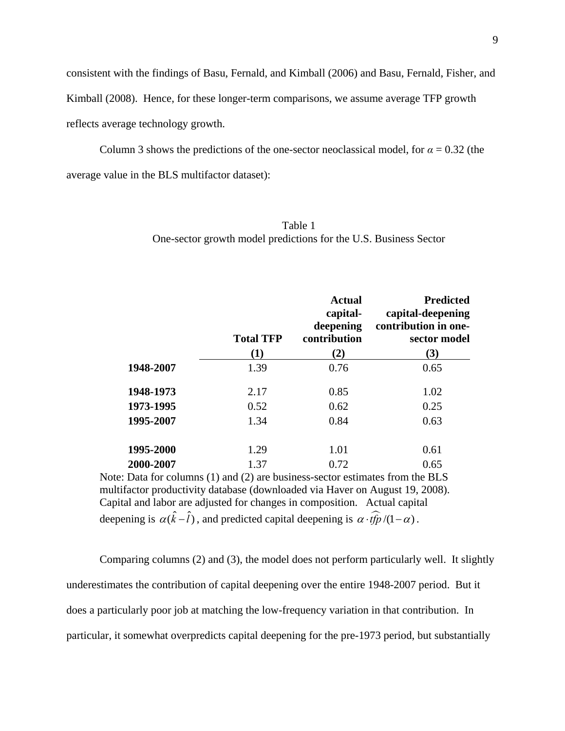consistent with the findings of Basu, Fernald, and Kimball (2006) and Basu, Fernald, Fisher, and

Kimball (2008). Hence, for these longer-term comparisons, we assume average TFP growth

reflects average technology growth.

Column 3 shows the predictions of the one-sector neoclassical model, for  $\alpha = 0.32$  (the average value in the BLS multifactor dataset):

|           | <b>Total TFP</b><br>(1) | <b>Actual</b><br>capital-<br>deepening<br>contribution<br>(2) | <b>Predicted</b><br>capital-deepening<br>contribution in one-<br>sector model<br>(3) |
|-----------|-------------------------|---------------------------------------------------------------|--------------------------------------------------------------------------------------|
| 1948-2007 | 1.39                    | 0.76                                                          | 0.65                                                                                 |
| 1948-1973 | 2.17                    | 0.85                                                          | 1.02                                                                                 |
| 1973-1995 | 0.52                    | 0.62                                                          | 0.25                                                                                 |
| 1995-2007 | 1.34                    | 0.84                                                          | 0.63                                                                                 |
| 1995-2000 | 1.29                    | 1.01                                                          | 0.61                                                                                 |
| 2000-2007 | 1.37                    | 0.72                                                          | 0.65                                                                                 |

Table 1 One-sector growth model predictions for the U.S. Business Sector

Note: Data for columns (1) and (2) are business-sector estimates from the BLS multifactor productivity database (downloaded via Haver on August 19, 2008). Capital and labor are adjusted for changes in composition.Actual capital deepening is  $\alpha(\hat{k} - \hat{l})$ , and predicted capital deepening is  $\alpha \cdot \hat{tfp}/(1 - \alpha)$ .

Comparing columns (2) and (3), the model does not perform particularly well. It slightly underestimates the contribution of capital deepening over the entire 1948-2007 period. But it does a particularly poor job at matching the low-frequency variation in that contribution. In particular, it somewhat overpredicts capital deepening for the pre-1973 period, but substantially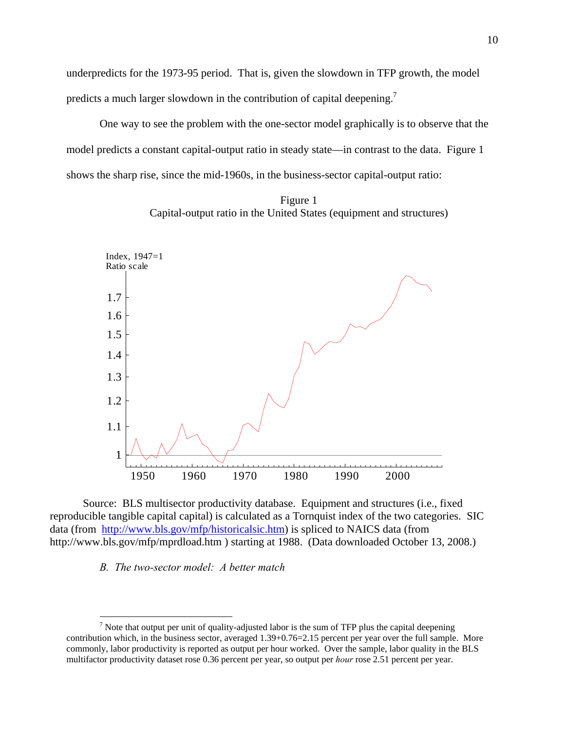underpredicts for the 1973-95 period. That is, given the slowdown in TFP growth, the model predicts a much larger slowdown in the contribution of capital deepening.<sup>7</sup>

 One way to see the problem with the one-sector model graphically is to observe that the model predicts a constant capital-output ratio in steady state—in contrast to the data. Figure 1 shows the sharp rise, since the mid-1960s, in the business-sector capital-output ratio:





Source: BLS multisector productivity database. Equipment and structures (i.e., fixed reproducible tangible capital capital) is calculated as a Tornquist index of the two categories. SIC data (from http://www.bls.gov/mfp/historicalsic.htm) is spliced to NAICS data (from http://www.bls.gov/mfp/mprdload.htm ) starting at 1988. (Data downloaded October 13, 2008.)

#### *B. The two-sector model: A better match*

<sup>&</sup>lt;sup>7</sup> Note that output per unit of quality-adjusted labor is the sum of TFP plus the capital deepening contribution which, in the business sector, averaged 1.39+0.76=2.15 percent per year over the full sample. More commonly, labor productivity is reported as output per hour worked. Over the sample, labor quality in the BLS multifactor productivity dataset rose 0.36 percent per year, so output per *hour* rose 2.51 percent per year.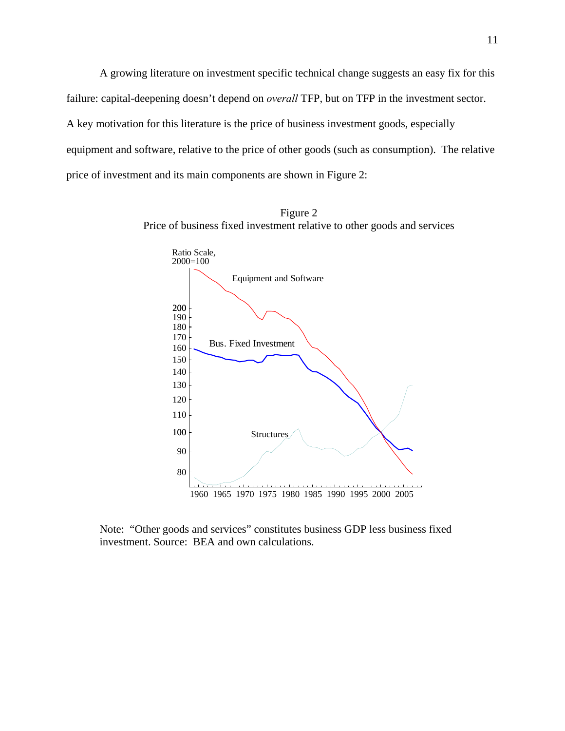A growing literature on investment specific technical change suggests an easy fix for this failure: capital-deepening doesn't depend on *overall* TFP, but on TFP in the investment sector. A key motivation for this literature is the price of business investment goods, especially equipment and software, relative to the price of other goods (such as consumption). The relative price of investment and its main components are shown in Figure 2:





Note: "Other goods and services" constitutes business GDP less business fixed investment. Source: BEA and own calculations.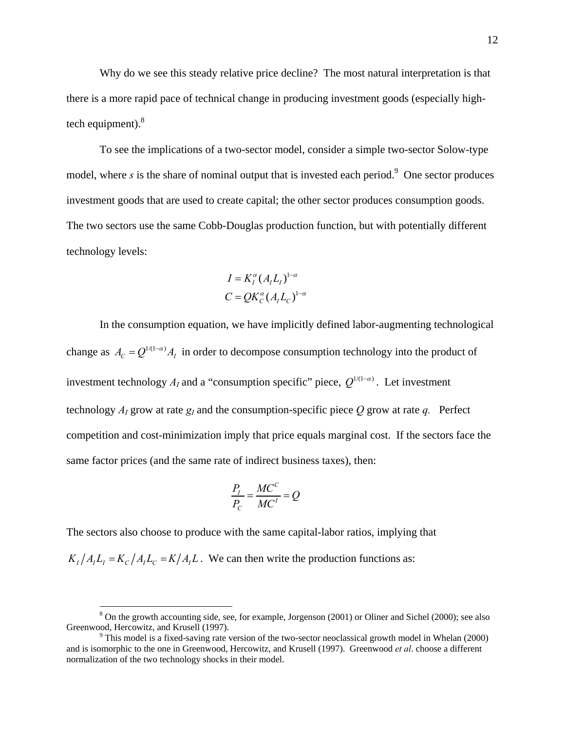Why do we see this steady relative price decline? The most natural interpretation is that there is a more rapid pace of technical change in producing investment goods (especially hightech equipment). $8$ 

To see the implications of a two-sector model, consider a simple two-sector Solow-type model, where  $s$  is the share of nominal output that is invested each period.<sup>9</sup> One sector produces investment goods that are used to create capital; the other sector produces consumption goods. The two sectors use the same Cobb-Douglas production function, but with potentially different technology levels:

$$
I = K_I^{\alpha} (A_I L_I)^{1-\alpha}
$$
  

$$
C = QK_C^{\alpha} (A_I L_C)^{1-\alpha}
$$

In the consumption equation, we have implicitly defined labor-augmenting technological change as  $A_C = Q^{1/(1-\alpha)} A_I$  in order to decompose consumption technology into the product of investment technology  $A_i$  and a "consumption specific" piece,  $O^{1/(1-\alpha)}$ . Let investment technology  $A_1$  grow at rate  $g_1$  and the consumption-specific piece O grow at rate q. Perfect competition and cost-minimization imply that price equals marginal cost. If the sectors face the same factor prices (and the same rate of indirect business taxes), then:

$$
\frac{P_I}{P_C} = \frac{MC^C}{MC^I} = Q
$$

The sectors also choose to produce with the same capital-labor ratios, implying that

 $K_I/A_I L_I = K_C/A_I L_C = K/A_I L$ . We can then write the production functions as:

<sup>&</sup>lt;sup>8</sup> On the growth accounting side, see, for example, Jorgenson (2001) or Oliner and Sichel (2000); see also Greenwood, Hercowitz, and Krusell (1997).

<sup>&</sup>lt;sup>9</sup> This model is a fixed-saving rate version of the two-sector neoclassical growth model in Whelan (2000) and is isomorphic to the one in Greenwood, Hercowitz, and Krusell (1997). Greenwood *et al*. choose a different normalization of the two technology shocks in their model.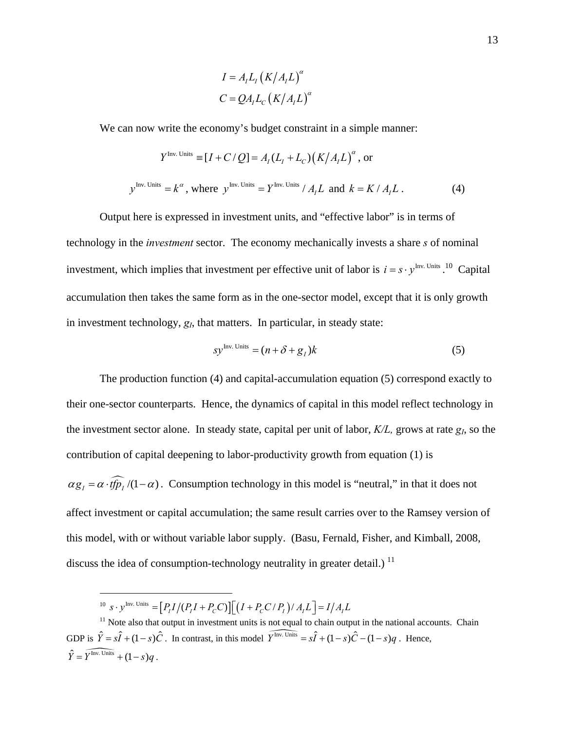$$
I = AILI (K/AIL)\alpha
$$
  

$$
C = QAILC (K/AIL)\alpha
$$

We can now write the economy's budget constraint in a simple manner:

$$
Y^{\text{Inv. Units}} \equiv [I + C/Q] = A_I (L_I + L_C) (K/A_I L)^{\alpha}, \text{ or}
$$
  

$$
y^{\text{Inv. Units}} = k^{\alpha}, \text{ where } y^{\text{Inv. Units}} = Y^{\text{Inv. Units}} / A_I L \text{ and } k = K / A_I L.
$$
 (4)

Output here is expressed in investment units, and "effective labor" is in terms of technology in the *investment* sector. The economy mechanically invests a share *s* of nominal investment, which implies that investment per effective unit of labor is  $i = s \cdot y^{\text{Inv. Units}}$ . Capital accumulation then takes the same form as in the one-sector model, except that it is only growth in investment technology,  $g_I$ , that matters. In particular, in steady state:

$$
sy^{\text{Inv. Units}} = (n + \delta + g_I)k
$$
 (5)

The production function (4) and capital-accumulation equation (5) correspond exactly to their one-sector counterparts. Hence, the dynamics of capital in this model reflect technology in the investment sector alone. In steady state, capital per unit of labor, *K/L,* grows at rate *gI*, so the contribution of capital deepening to labor-productivity growth from equation (1) is  $\alpha g_1 = \alpha \cdot t \widehat{f} \widehat{p}_1 / (1 - \alpha)$ . Consumption technology in this model is "neutral," in that it does not affect investment or capital accumulation; the same result carries over to the Ramsey version of this model, with or without variable labor supply. (Basu, Fernald, Fisher, and Kimball, 2008, discuss the idea of consumption-technology neutrality in greater detail.)  $<sup>11</sup>$ </sup>

 $10 \text{ s} \cdot y^{\text{Inv. Units}} = [P_I I/(P_I I + P_C C)][(I + P_C C / P_I)/A_I L] = I/A_I L$ 

<sup>&</sup>lt;sup>11</sup> Note also that output in investment units is not equal to chain output in the national accounts. Chain GDP is  $\hat{Y} = s\hat{I} + (1 - s)\hat{C}$ . In contrast, in this model  $\widehat{Y}^{\text{Inv. Units}} = s\hat{I} + (1 - s)\hat{C} - (1 - s)q$ . Hence,  $\hat{Y} = \widehat{Y^{Inv. Units}} + (1 - s)a$ .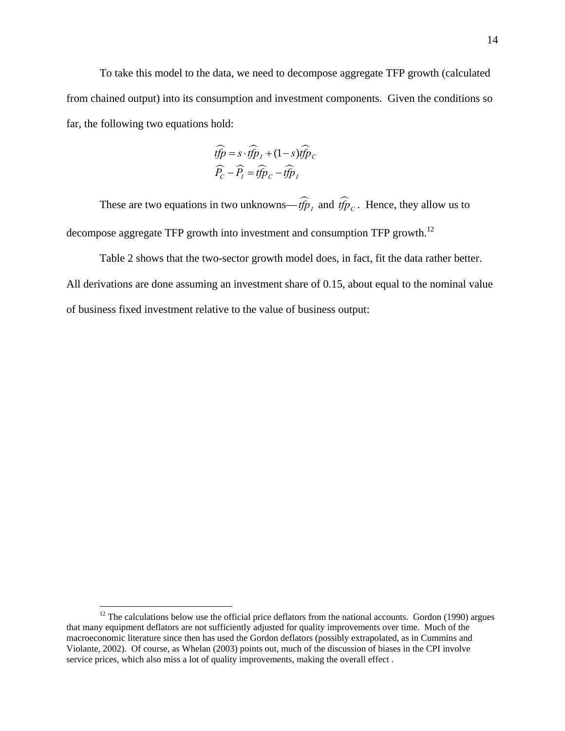To take this model to the data, we need to decompose aggregate TFP growth (calculated from chained output) into its consumption and investment components. Given the conditions so far, the following two equations hold:

$$
\widehat{tfp} = s \cdot \widehat{tfp}_I + (1 - s)\widehat{tfp}_C
$$

$$
\widehat{P}_C - \widehat{P}_I = \widehat{tfp}_C - \widehat{tfp}_I
$$

These are two equations in two unknowns— $\widehat{t/p}_I$  and  $\widehat{t/p}_C$ . Hence, they allow us to decompose aggregate TFP growth into investment and consumption TFP growth.<sup>12</sup>

Table 2 shows that the two-sector growth model does, in fact, fit the data rather better. All derivations are done assuming an investment share of 0.15, about equal to the nominal value of business fixed investment relative to the value of business output:

 $12$  The calculations below use the official price deflators from the national accounts. Gordon (1990) argues that many equipment deflators are not sufficiently adjusted for quality improvements over time. Much of the macroeconomic literature since then has used the Gordon deflators (possibly extrapolated, as in Cummins and Violante, 2002). Of course, as Whelan (2003) points out, much of the discussion of biases in the CPI involve service prices, which also miss a lot of quality improvements, making the overall effect .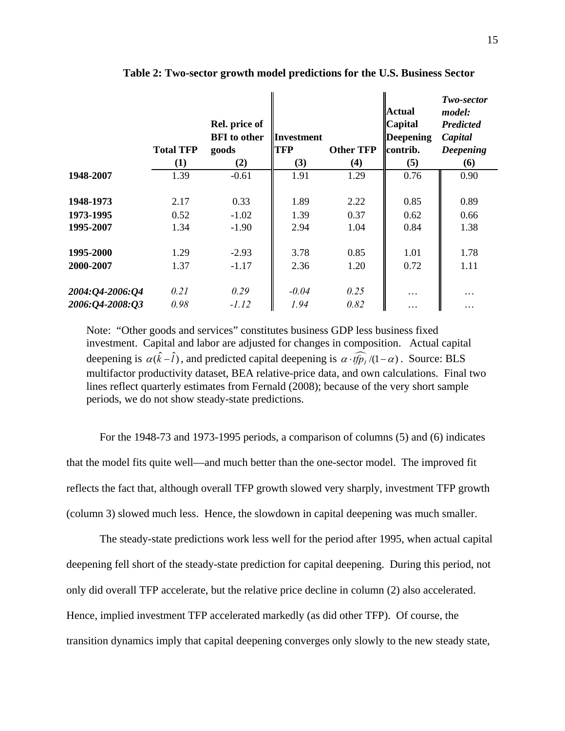|                 | <b>Total TFP</b><br>(1) | Rel. price of<br><b>BFI</b> to other<br>goods<br>(2) | <b>Investment</b><br><b>TFP</b><br>(3) | <b>Other TFP</b><br>(4) | <b>Actual</b><br><b>Capital</b><br><b>Deepening</b><br>contrib.<br>(5) | Two-sector<br>model:<br><b>Predicted</b><br>Capital<br><b>Deepening</b><br>(6) |
|-----------------|-------------------------|------------------------------------------------------|----------------------------------------|-------------------------|------------------------------------------------------------------------|--------------------------------------------------------------------------------|
| 1948-2007       | 1.39                    | $-0.61$                                              | 1.91                                   | 1.29                    | 0.76                                                                   | 0.90                                                                           |
| 1948-1973       | 2.17                    | 0.33                                                 | 1.89                                   | 2.22                    | 0.85                                                                   | 0.89                                                                           |
| 1973-1995       | 0.52                    | $-1.02$                                              | 1.39                                   | 0.37                    | 0.62                                                                   | 0.66                                                                           |
| 1995-2007       | 1.34                    | $-1.90$                                              | 2.94                                   | 1.04                    | 0.84                                                                   | 1.38                                                                           |
| 1995-2000       | 1.29                    | $-2.93$                                              | 3.78                                   | 0.85                    | 1.01                                                                   | 1.78                                                                           |
| 2000-2007       | 1.37                    | $-1.17$                                              | 2.36                                   | 1.20                    | 0.72                                                                   | 1.11                                                                           |
| 2004:Q4-2006:Q4 | 0.21                    | 0.29                                                 | $-0.04$                                | 0.25                    | .                                                                      | $\cdots$                                                                       |
| 2006:Q4-2008:O3 | 0.98                    | $-1.12$                                              | 1.94                                   | 0.82                    | .                                                                      | $\cdots$                                                                       |

**Table 2: Two-sector growth model predictions for the U.S. Business Sector** 

Note: "Other goods and services" constitutes business GDP less business fixed investment. Capital and labor are adjusted for changes in composition. Actual capital deepening is  $\alpha(\hat{k} - \hat{l})$ , and predicted capital deepening is  $\alpha \cdot \widehat{tfp}_1/(1 - \alpha)$ . Source: BLS multifactor productivity dataset, BEA relative-price data, and own calculations. Final two lines reflect quarterly estimates from Fernald (2008); because of the very short sample periods, we do not show steady-state predictions.

For the 1948-73 and 1973-1995 periods, a comparison of columns (5) and (6) indicates that the model fits quite well—and much better than the one-sector model. The improved fit reflects the fact that, although overall TFP growth slowed very sharply, investment TFP growth (column 3) slowed much less. Hence, the slowdown in capital deepening was much smaller.

The steady-state predictions work less well for the period after 1995, when actual capital deepening fell short of the steady-state prediction for capital deepening. During this period, not only did overall TFP accelerate, but the relative price decline in column (2) also accelerated. Hence, implied investment TFP accelerated markedly (as did other TFP). Of course, the transition dynamics imply that capital deepening converges only slowly to the new steady state,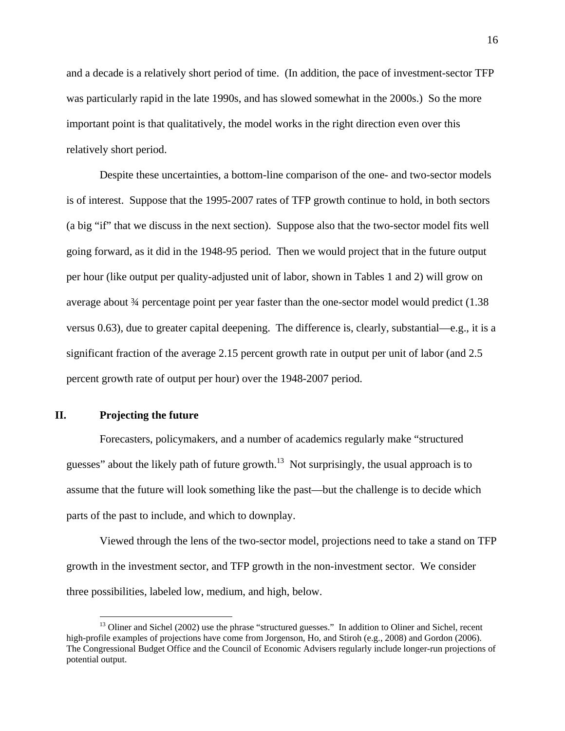and a decade is a relatively short period of time. (In addition, the pace of investment-sector TFP was particularly rapid in the late 1990s, and has slowed somewhat in the 2000s.) So the more important point is that qualitatively, the model works in the right direction even over this relatively short period.

Despite these uncertainties, a bottom-line comparison of the one- and two-sector models is of interest. Suppose that the 1995-2007 rates of TFP growth continue to hold, in both sectors (a big "if" that we discuss in the next section). Suppose also that the two-sector model fits well going forward, as it did in the 1948-95 period. Then we would project that in the future output per hour (like output per quality-adjusted unit of labor, shown in Tables 1 and 2) will grow on average about 34 percentage point per year faster than the one-sector model would predict (1.38 versus 0.63), due to greater capital deepening. The difference is, clearly, substantial—e.g., it is a significant fraction of the average 2.15 percent growth rate in output per unit of labor (and 2.5 percent growth rate of output per hour) over the 1948-2007 period.

### **II. Projecting the future**

 $\overline{a}$ 

Forecasters, policymakers, and a number of academics regularly make "structured guesses" about the likely path of future growth.<sup>13</sup> Not surprisingly, the usual approach is to assume that the future will look something like the past—but the challenge is to decide which parts of the past to include, and which to downplay.

Viewed through the lens of the two-sector model, projections need to take a stand on TFP growth in the investment sector, and TFP growth in the non-investment sector. We consider three possibilities, labeled low, medium, and high, below.

<sup>&</sup>lt;sup>13</sup> Oliner and Sichel (2002) use the phrase "structured guesses." In addition to Oliner and Sichel, recent high-profile examples of projections have come from Jorgenson, Ho, and Stiroh (e.g., 2008) and Gordon (2006). The Congressional Budget Office and the Council of Economic Advisers regularly include longer-run projections of potential output.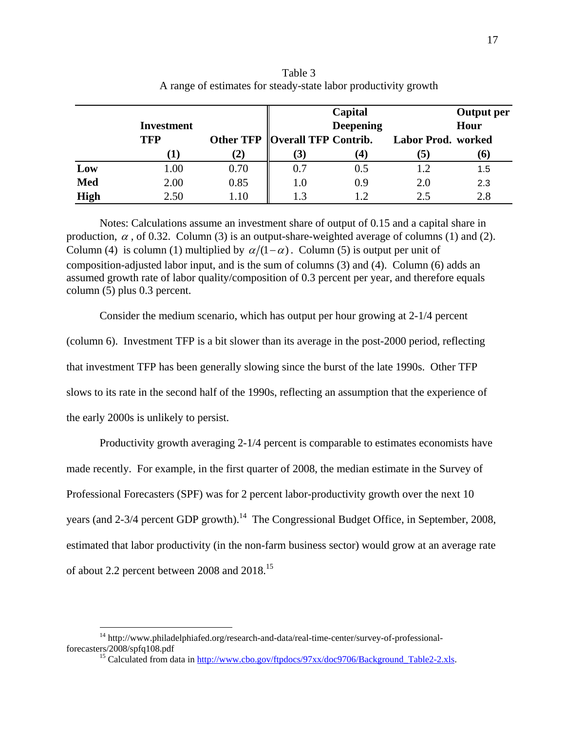|             |                   |          |                                  | Capital          |                    | <b>Output</b> per |
|-------------|-------------------|----------|----------------------------------|------------------|--------------------|-------------------|
|             | <b>Investment</b> |          |                                  | <b>Deepening</b> |                    | Hour              |
|             | <b>TFP</b>        |          | Other TFP   Overall TFP Contrib. |                  | Labor Prod. worked |                   |
|             |                   | (2)      | (3)                              | (4)              | 5                  | (6)               |
| Low         | 1.00              | 0.70     | 0.7                              | 0.5              | 1.2                | 1.5               |
| <b>Med</b>  | 2.00              | 0.85     | 1.0                              | 0.9              | 2.0                | 2.3               |
| <b>High</b> | 2.50              | $1.10\,$ | 1.3                              |                  | 2.5                | 2.8               |

Table 3 A range of estimates for steady-state labor productivity growth

Notes: Calculations assume an investment share of output of 0.15 and a capital share in production,  $\alpha$ , of 0.32. Column (3) is an output-share-weighted average of columns (1) and (2). Column (4) is column (1) multiplied by  $\alpha/(1-\alpha)$ . Column (5) is output per unit of composition-adjusted labor input, and is the sum of columns (3) and (4). Column (6) adds an assumed growth rate of labor quality/composition of 0.3 percent per year, and therefore equals column (5) plus 0.3 percent.

Consider the medium scenario, which has output per hour growing at 2-1/4 percent (column 6). Investment TFP is a bit slower than its average in the post-2000 period, reflecting that investment TFP has been generally slowing since the burst of the late 1990s. Other TFP slows to its rate in the second half of the 1990s, reflecting an assumption that the experience of the early 2000s is unlikely to persist.

Productivity growth averaging 2-1/4 percent is comparable to estimates economists have made recently. For example, in the first quarter of 2008, the median estimate in the Survey of Professional Forecasters (SPF) was for 2 percent labor-productivity growth over the next 10 years (and  $2-3/4$  percent GDP growth).<sup>14</sup> The Congressional Budget Office, in September, 2008, estimated that labor productivity (in the non-farm business sector) would grow at an average rate of about 2.2 percent between 2008 and 2018.15

1

 $^{14}$ http://www.philadelphiafed.org/research-and-data/real-time-center/survey-of-professional-forecasters/2008/spfq108.pdf

<sup>&</sup>lt;sup>15</sup> Calculated from data in http://www.cbo.gov/ftpdocs/97xx/doc9706/Background\_Table2-2.xls.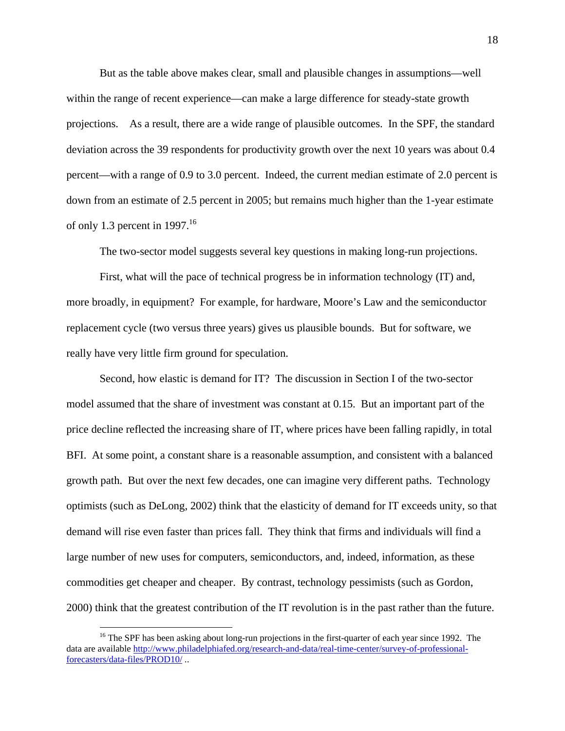But as the table above makes clear, small and plausible changes in assumptions—well within the range of recent experience—can make a large difference for steady-state growth projections. As a result, there are a wide range of plausible outcomes. In the SPF, the standard deviation across the 39 respondents for productivity growth over the next 10 years was about 0.4 percent—with a range of 0.9 to 3.0 percent. Indeed, the current median estimate of 2.0 percent is down from an estimate of 2.5 percent in 2005; but remains much higher than the 1-year estimate of only 1.3 percent in 1997.<sup>16</sup>

The two-sector model suggests several key questions in making long-run projections.

First, what will the pace of technical progress be in information technology (IT) and, more broadly, in equipment? For example, for hardware, Moore's Law and the semiconductor replacement cycle (two versus three years) gives us plausible bounds. But for software, we really have very little firm ground for speculation.

Second, how elastic is demand for IT? The discussion in Section I of the two-sector model assumed that the share of investment was constant at 0.15. But an important part of the price decline reflected the increasing share of IT, where prices have been falling rapidly, in total BFI. At some point, a constant share is a reasonable assumption, and consistent with a balanced growth path. But over the next few decades, one can imagine very different paths. Technology optimists (such as DeLong, 2002) think that the elasticity of demand for IT exceeds unity, so that demand will rise even faster than prices fall. They think that firms and individuals will find a large number of new uses for computers, semiconductors, and, indeed, information, as these commodities get cheaper and cheaper. By contrast, technology pessimists (such as Gordon, 2000) think that the greatest contribution of the IT revolution is in the past rather than the future.

1

<sup>&</sup>lt;sup>16</sup> The SPF has been asking about long-run projections in the first-quarter of each year since 1992. The data are available http://www.philadelphiafed.org/research-and-data/real-time-center/survey-of-professionalforecasters/data-files/PROD10/ ..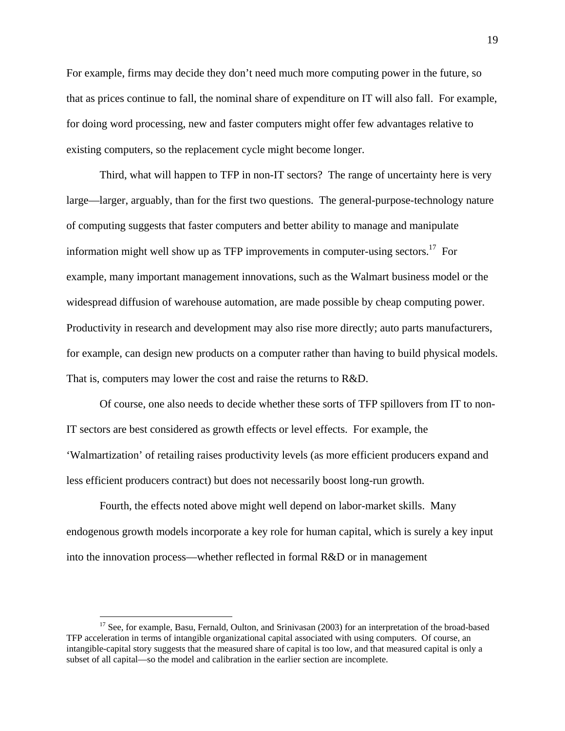For example, firms may decide they don't need much more computing power in the future, so that as prices continue to fall, the nominal share of expenditure on IT will also fall. For example, for doing word processing, new and faster computers might offer few advantages relative to existing computers, so the replacement cycle might become longer.

Third, what will happen to TFP in non-IT sectors? The range of uncertainty here is very large—larger, arguably, than for the first two questions. The general-purpose-technology nature of computing suggests that faster computers and better ability to manage and manipulate information might well show up as TFP improvements in computer-using sectors.<sup>17</sup> For example, many important management innovations, such as the Walmart business model or the widespread diffusion of warehouse automation, are made possible by cheap computing power. Productivity in research and development may also rise more directly; auto parts manufacturers, for example, can design new products on a computer rather than having to build physical models. That is, computers may lower the cost and raise the returns to R&D.

Of course, one also needs to decide whether these sorts of TFP spillovers from IT to non-IT sectors are best considered as growth effects or level effects. For example, the 'Walmartization' of retailing raises productivity levels (as more efficient producers expand and less efficient producers contract) but does not necessarily boost long-run growth.

Fourth, the effects noted above might well depend on labor-market skills. Many endogenous growth models incorporate a key role for human capital, which is surely a key input into the innovation process—whether reflected in formal R&D or in management

<sup>&</sup>lt;sup>17</sup> See, for example, Basu, Fernald, Oulton, and Srinivasan (2003) for an interpretation of the broad-based TFP acceleration in terms of intangible organizational capital associated with using computers. Of course, an intangible-capital story suggests that the measured share of capital is too low, and that measured capital is only a subset of all capital—so the model and calibration in the earlier section are incomplete.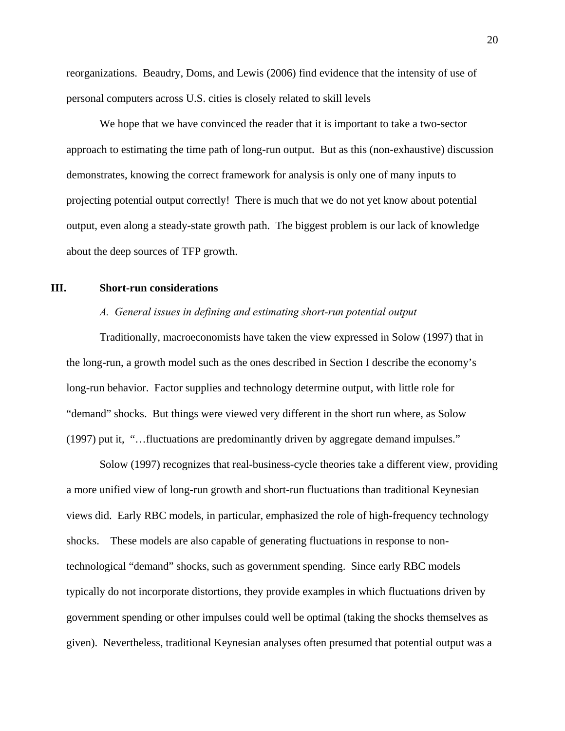reorganizations. Beaudry, Doms, and Lewis (2006) find evidence that the intensity of use of personal computers across U.S. cities is closely related to skill levels

We hope that we have convinced the reader that it is important to take a two-sector approach to estimating the time path of long-run output. But as this (non-exhaustive) discussion demonstrates, knowing the correct framework for analysis is only one of many inputs to projecting potential output correctly! There is much that we do not yet know about potential output, even along a steady-state growth path. The biggest problem is our lack of knowledge about the deep sources of TFP growth.

### **III. Short-run considerations**

### *A. General issues in defining and estimating short-run potential output*

Traditionally, macroeconomists have taken the view expressed in Solow (1997) that in the long-run, a growth model such as the ones described in Section I describe the economy's long-run behavior. Factor supplies and technology determine output, with little role for "demand" shocks. But things were viewed very different in the short run where, as Solow (1997) put it, "…fluctuations are predominantly driven by aggregate demand impulses."

Solow (1997) recognizes that real-business-cycle theories take a different view, providing a more unified view of long-run growth and short-run fluctuations than traditional Keynesian views did. Early RBC models, in particular, emphasized the role of high-frequency technology shocks. These models are also capable of generating fluctuations in response to nontechnological "demand" shocks, such as government spending. Since early RBC models typically do not incorporate distortions, they provide examples in which fluctuations driven by government spending or other impulses could well be optimal (taking the shocks themselves as given). Nevertheless, traditional Keynesian analyses often presumed that potential output was a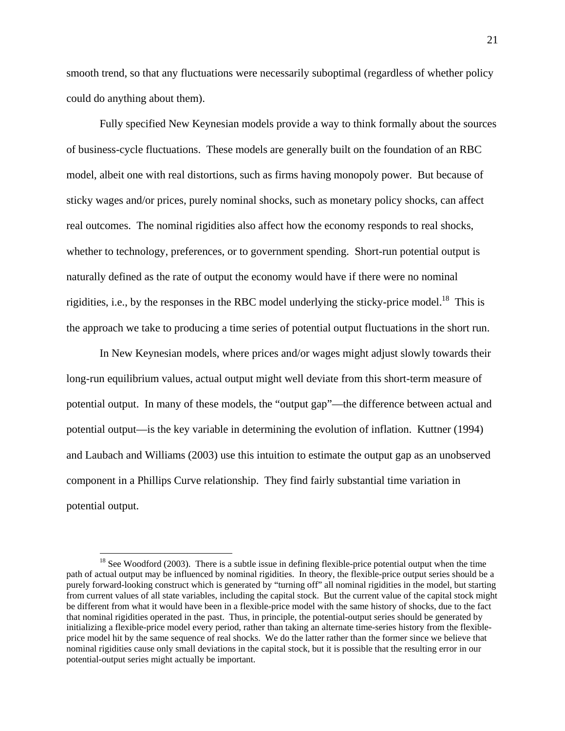smooth trend, so that any fluctuations were necessarily suboptimal (regardless of whether policy could do anything about them).

Fully specified New Keynesian models provide a way to think formally about the sources of business-cycle fluctuations. These models are generally built on the foundation of an RBC model, albeit one with real distortions, such as firms having monopoly power. But because of sticky wages and/or prices, purely nominal shocks, such as monetary policy shocks, can affect real outcomes. The nominal rigidities also affect how the economy responds to real shocks, whether to technology, preferences, or to government spending. Short-run potential output is naturally defined as the rate of output the economy would have if there were no nominal rigidities, i.e., by the responses in the RBC model underlying the sticky-price model.<sup>18</sup> This is the approach we take to producing a time series of potential output fluctuations in the short run.

In New Keynesian models, where prices and/or wages might adjust slowly towards their long-run equilibrium values, actual output might well deviate from this short-term measure of potential output. In many of these models, the "output gap"—the difference between actual and potential output—is the key variable in determining the evolution of inflation. Kuttner (1994) and Laubach and Williams (2003) use this intuition to estimate the output gap as an unobserved component in a Phillips Curve relationship. They find fairly substantial time variation in potential output.

 $18$  See Woodford (2003). There is a subtle issue in defining flexible-price potential output when the time path of actual output may be influenced by nominal rigidities. In theory, the flexible-price output series should be a purely forward-looking construct which is generated by "turning off" all nominal rigidities in the model, but starting from current values of all state variables, including the capital stock. But the current value of the capital stock might be different from what it would have been in a flexible-price model with the same history of shocks, due to the fact that nominal rigidities operated in the past. Thus, in principle, the potential-output series should be generated by initializing a flexible-price model every period, rather than taking an alternate time-series history from the flexibleprice model hit by the same sequence of real shocks. We do the latter rather than the former since we believe that nominal rigidities cause only small deviations in the capital stock, but it is possible that the resulting error in our potential-output series might actually be important.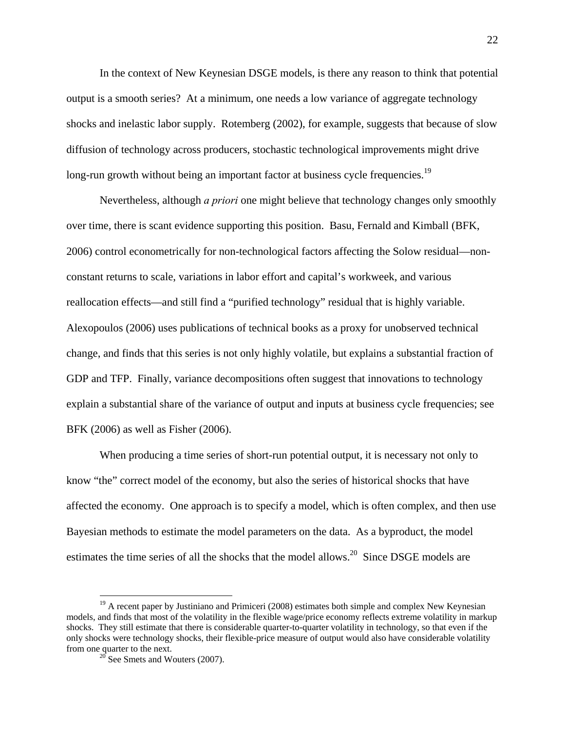In the context of New Keynesian DSGE models, is there any reason to think that potential output is a smooth series? At a minimum, one needs a low variance of aggregate technology shocks and inelastic labor supply. Rotemberg (2002), for example, suggests that because of slow diffusion of technology across producers, stochastic technological improvements might drive long-run growth without being an important factor at business cycle frequencies.<sup>19</sup>

Nevertheless, although *a priori* one might believe that technology changes only smoothly over time, there is scant evidence supporting this position. Basu, Fernald and Kimball (BFK, 2006) control econometrically for non-technological factors affecting the Solow residual—nonconstant returns to scale, variations in labor effort and capital's workweek, and various reallocation effects—and still find a "purified technology" residual that is highly variable. Alexopoulos (2006) uses publications of technical books as a proxy for unobserved technical change, and finds that this series is not only highly volatile, but explains a substantial fraction of GDP and TFP. Finally, variance decompositions often suggest that innovations to technology explain a substantial share of the variance of output and inputs at business cycle frequencies; see BFK (2006) as well as Fisher (2006).

When producing a time series of short-run potential output, it is necessary not only to know "the" correct model of the economy, but also the series of historical shocks that have affected the economy. One approach is to specify a model, which is often complex, and then use Bayesian methods to estimate the model parameters on the data. As a byproduct, the model estimates the time series of all the shocks that the model allows.<sup>20</sup> Since DSGE models are

 $19$  A recent paper by Justiniano and Primiceri (2008) estimates both simple and complex New Keynesian models, and finds that most of the volatility in the flexible wage/price economy reflects extreme volatility in markup shocks. They still estimate that there is considerable quarter-to-quarter volatility in technology, so that even if the only shocks were technology shocks, their flexible-price measure of output would also have considerable volatility from one quarter to the next.<br><sup>20</sup> See Smets and Wouters (2007).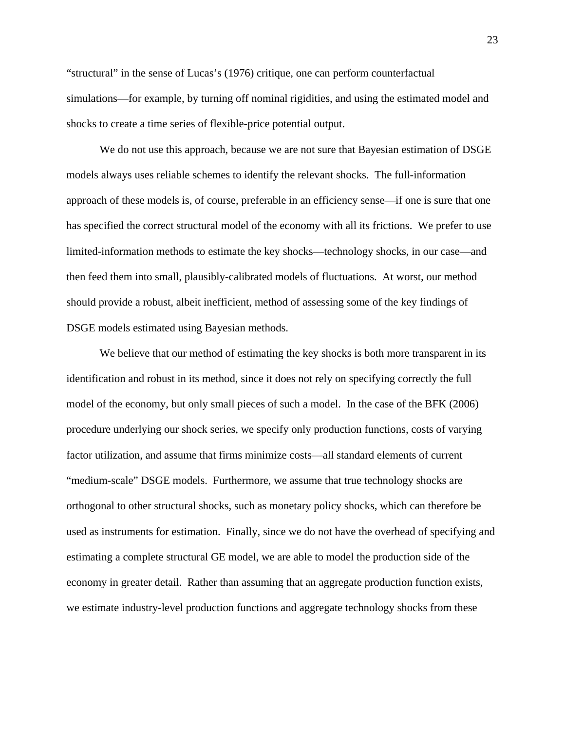"structural" in the sense of Lucas's (1976) critique, one can perform counterfactual simulations—for example, by turning off nominal rigidities, and using the estimated model and shocks to create a time series of flexible-price potential output.

We do not use this approach, because we are not sure that Bayesian estimation of DSGE models always uses reliable schemes to identify the relevant shocks. The full-information approach of these models is, of course, preferable in an efficiency sense—if one is sure that one has specified the correct structural model of the economy with all its frictions. We prefer to use limited-information methods to estimate the key shocks—technology shocks, in our case—and then feed them into small, plausibly-calibrated models of fluctuations. At worst, our method should provide a robust, albeit inefficient, method of assessing some of the key findings of DSGE models estimated using Bayesian methods.

We believe that our method of estimating the key shocks is both more transparent in its identification and robust in its method, since it does not rely on specifying correctly the full model of the economy, but only small pieces of such a model. In the case of the BFK (2006) procedure underlying our shock series, we specify only production functions, costs of varying factor utilization, and assume that firms minimize costs—all standard elements of current "medium-scale" DSGE models. Furthermore, we assume that true technology shocks are orthogonal to other structural shocks, such as monetary policy shocks, which can therefore be used as instruments for estimation. Finally, since we do not have the overhead of specifying and estimating a complete structural GE model, we are able to model the production side of the economy in greater detail. Rather than assuming that an aggregate production function exists, we estimate industry-level production functions and aggregate technology shocks from these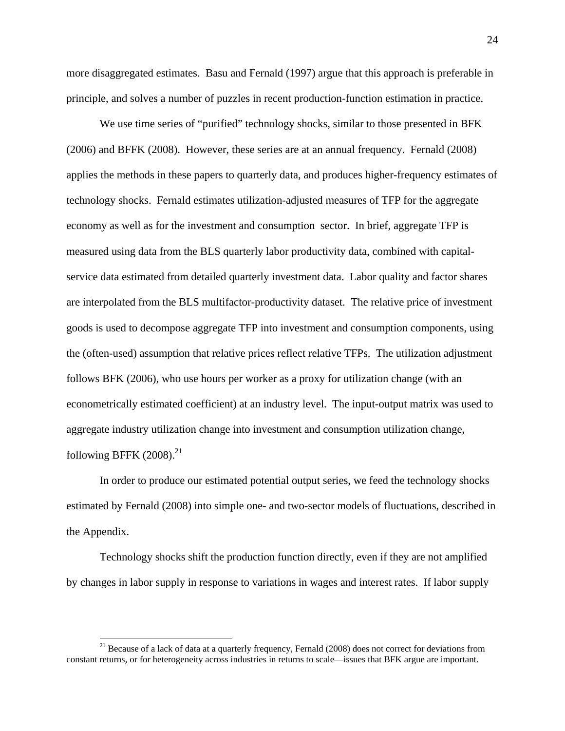more disaggregated estimates. Basu and Fernald (1997) argue that this approach is preferable in principle, and solves a number of puzzles in recent production-function estimation in practice.

We use time series of "purified" technology shocks, similar to those presented in BFK (2006) and BFFK (2008). However, these series are at an annual frequency. Fernald (2008) applies the methods in these papers to quarterly data, and produces higher-frequency estimates of technology shocks. Fernald estimates utilization-adjusted measures of TFP for the aggregate economy as well as for the investment and consumption sector. In brief, aggregate TFP is measured using data from the BLS quarterly labor productivity data, combined with capitalservice data estimated from detailed quarterly investment data. Labor quality and factor shares are interpolated from the BLS multifactor-productivity dataset. The relative price of investment goods is used to decompose aggregate TFP into investment and consumption components, using the (often-used) assumption that relative prices reflect relative TFPs. The utilization adjustment follows BFK (2006), who use hours per worker as a proxy for utilization change (with an econometrically estimated coefficient) at an industry level. The input-output matrix was used to aggregate industry utilization change into investment and consumption utilization change, following BFFK  $(2008).^{21}$ 

In order to produce our estimated potential output series, we feed the technology shocks estimated by Fernald (2008) into simple one- and two-sector models of fluctuations, described in the Appendix.

Technology shocks shift the production function directly, even if they are not amplified by changes in labor supply in response to variations in wages and interest rates. If labor supply

1

<sup>&</sup>lt;sup>21</sup> Because of a lack of data at a quarterly frequency, Fernald (2008) does not correct for deviations from constant returns, or for heterogeneity across industries in returns to scale—issues that BFK argue are important.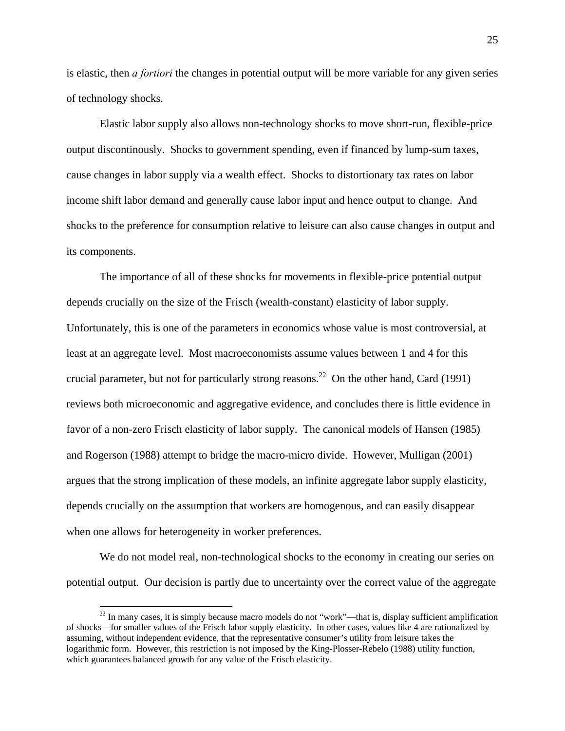is elastic, then *a fortiori* the changes in potential output will be more variable for any given series of technology shocks.

Elastic labor supply also allows non-technology shocks to move short-run, flexible-price output discontinously. Shocks to government spending, even if financed by lump-sum taxes, cause changes in labor supply via a wealth effect. Shocks to distortionary tax rates on labor income shift labor demand and generally cause labor input and hence output to change. And shocks to the preference for consumption relative to leisure can also cause changes in output and its components.

The importance of all of these shocks for movements in flexible-price potential output depends crucially on the size of the Frisch (wealth-constant) elasticity of labor supply. Unfortunately, this is one of the parameters in economics whose value is most controversial, at least at an aggregate level. Most macroeconomists assume values between 1 and 4 for this crucial parameter, but not for particularly strong reasons.<sup>22</sup> On the other hand, Card (1991) reviews both microeconomic and aggregative evidence, and concludes there is little evidence in favor of a non-zero Frisch elasticity of labor supply. The canonical models of Hansen (1985) and Rogerson (1988) attempt to bridge the macro-micro divide. However, Mulligan (2001) argues that the strong implication of these models, an infinite aggregate labor supply elasticity, depends crucially on the assumption that workers are homogenous, and can easily disappear when one allows for heterogeneity in worker preferences.

We do not model real, non-technological shocks to the economy in creating our series on potential output. Our decision is partly due to uncertainty over the correct value of the aggregate

 $^{22}$  In many cases, it is simply because macro models do not "work"—that is, display sufficient amplification of shocks—for smaller values of the Frisch labor supply elasticity. In other cases, values like 4 are rationalized by assuming, without independent evidence, that the representative consumer's utility from leisure takes the logarithmic form. However, this restriction is not imposed by the King-Plosser-Rebelo (1988) utility function, which guarantees balanced growth for any value of the Frisch elasticity.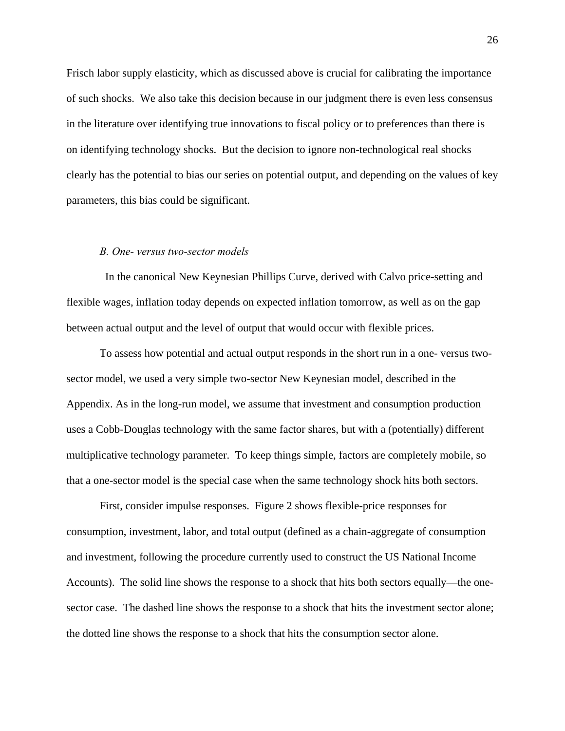Frisch labor supply elasticity, which as discussed above is crucial for calibrating the importance of such shocks. We also take this decision because in our judgment there is even less consensus in the literature over identifying true innovations to fiscal policy or to preferences than there is on identifying technology shocks. But the decision to ignore non-technological real shocks clearly has the potential to bias our series on potential output, and depending on the values of key parameters, this bias could be significant.

#### *B. One- versus two-sector models*

 In the canonical New Keynesian Phillips Curve, derived with Calvo price-setting and flexible wages, inflation today depends on expected inflation tomorrow, as well as on the gap between actual output and the level of output that would occur with flexible prices.

To assess how potential and actual output responds in the short run in a one- versus twosector model, we used a very simple two-sector New Keynesian model, described in the Appendix. As in the long-run model, we assume that investment and consumption production uses a Cobb-Douglas technology with the same factor shares, but with a (potentially) different multiplicative technology parameter. To keep things simple, factors are completely mobile, so that a one-sector model is the special case when the same technology shock hits both sectors.

First, consider impulse responses. Figure 2 shows flexible-price responses for consumption, investment, labor, and total output (defined as a chain-aggregate of consumption and investment, following the procedure currently used to construct the US National Income Accounts). The solid line shows the response to a shock that hits both sectors equally—the onesector case. The dashed line shows the response to a shock that hits the investment sector alone; the dotted line shows the response to a shock that hits the consumption sector alone.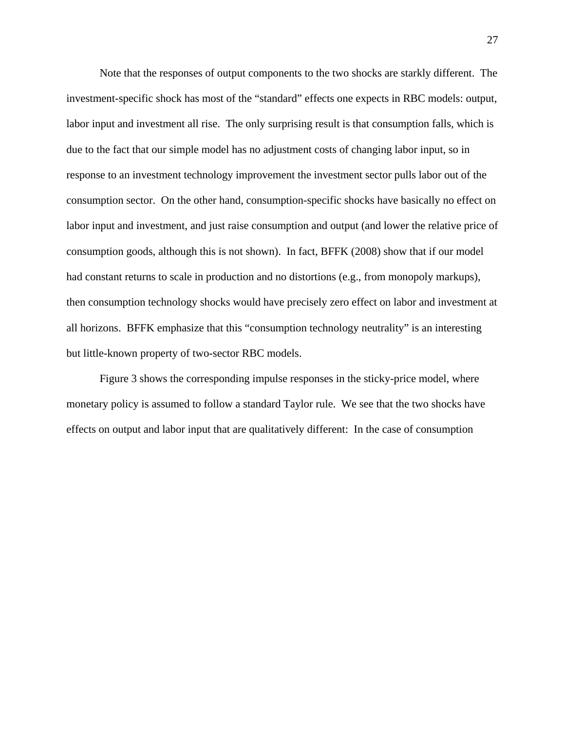Note that the responses of output components to the two shocks are starkly different. The investment-specific shock has most of the "standard" effects one expects in RBC models: output, labor input and investment all rise. The only surprising result is that consumption falls, which is due to the fact that our simple model has no adjustment costs of changing labor input, so in response to an investment technology improvement the investment sector pulls labor out of the consumption sector. On the other hand, consumption-specific shocks have basically no effect on labor input and investment, and just raise consumption and output (and lower the relative price of consumption goods, although this is not shown). In fact, BFFK (2008) show that if our model had constant returns to scale in production and no distortions (e.g., from monopoly markups), then consumption technology shocks would have precisely zero effect on labor and investment at all horizons. BFFK emphasize that this "consumption technology neutrality" is an interesting but little-known property of two-sector RBC models.

Figure 3 shows the corresponding impulse responses in the sticky-price model, where monetary policy is assumed to follow a standard Taylor rule. We see that the two shocks have effects on output and labor input that are qualitatively different: In the case of consumption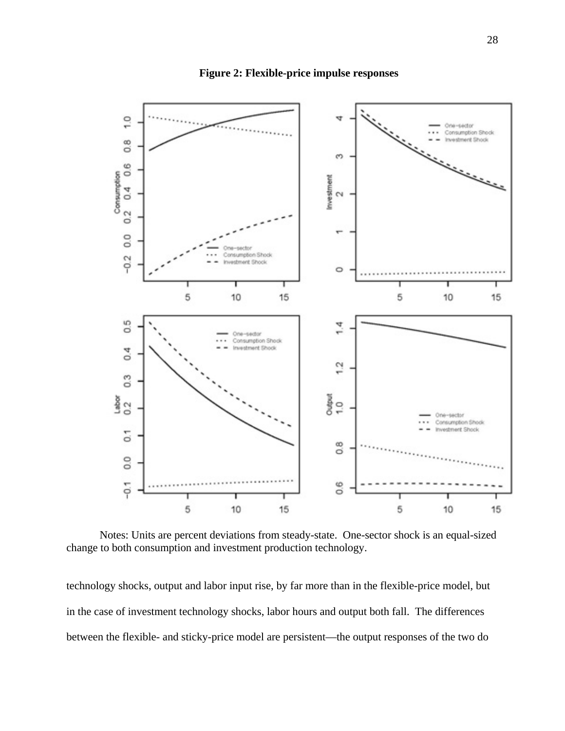

**Figure 2: Flexible-price impulse responses** 

Notes: Units are percent deviations from steady-state. One-sector shock is an equal-sized change to both consumption and investment production technology.

technology shocks, output and labor input rise, by far more than in the flexible-price model, but in the case of investment technology shocks, labor hours and output both fall. The differences between the flexible- and sticky-price model are persistent—the output responses of the two do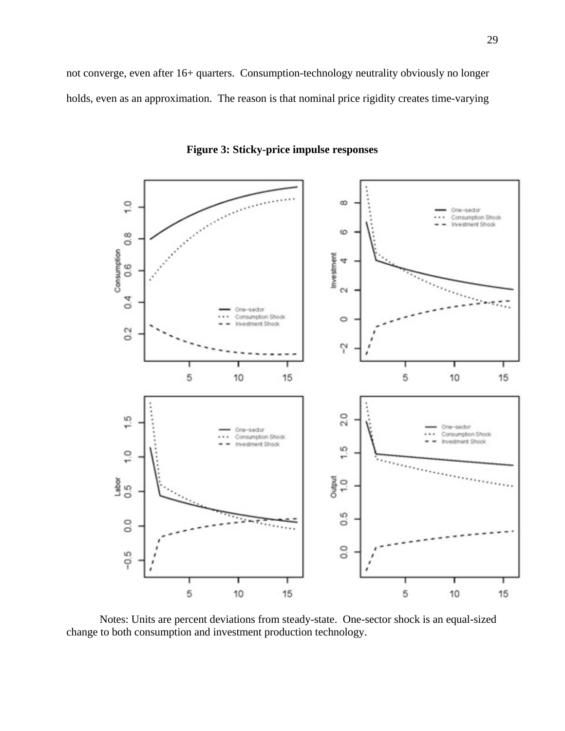not converge, even after 16+ quarters. Consumption-technology neutrality obviously no longer holds, even as an approximation. The reason is that nominal price rigidity creates time-varying



**Figure 3: Sticky-price impulse responses** 

Notes: Units are percent deviations from steady-state. One-sector shock is an equal-sized change to both consumption and investment production technology.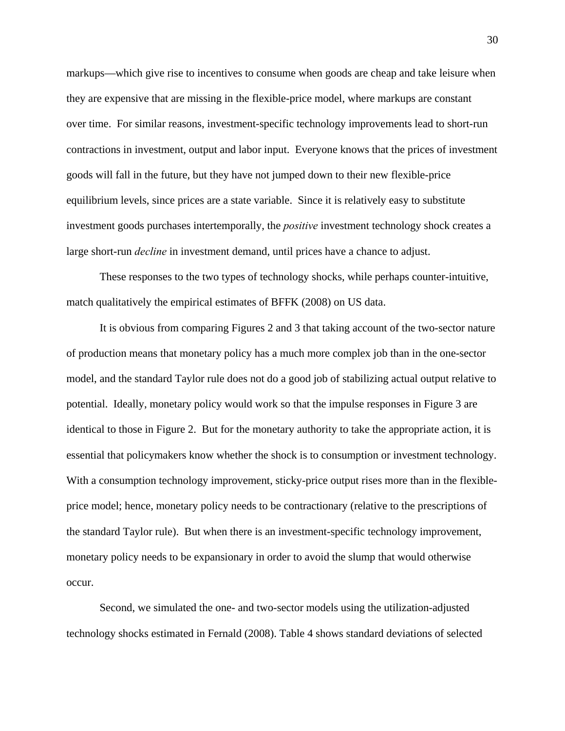markups—which give rise to incentives to consume when goods are cheap and take leisure when they are expensive that are missing in the flexible-price model, where markups are constant over time. For similar reasons, investment-specific technology improvements lead to short-run contractions in investment, output and labor input. Everyone knows that the prices of investment goods will fall in the future, but they have not jumped down to their new flexible-price equilibrium levels, since prices are a state variable. Since it is relatively easy to substitute investment goods purchases intertemporally, the *positive* investment technology shock creates a large short-run *decline* in investment demand, until prices have a chance to adjust.

These responses to the two types of technology shocks, while perhaps counter-intuitive, match qualitatively the empirical estimates of BFFK (2008) on US data.

It is obvious from comparing Figures 2 and 3 that taking account of the two-sector nature of production means that monetary policy has a much more complex job than in the one-sector model, and the standard Taylor rule does not do a good job of stabilizing actual output relative to potential. Ideally, monetary policy would work so that the impulse responses in Figure 3 are identical to those in Figure 2. But for the monetary authority to take the appropriate action, it is essential that policymakers know whether the shock is to consumption or investment technology. With a consumption technology improvement, sticky-price output rises more than in the flexibleprice model; hence, monetary policy needs to be contractionary (relative to the prescriptions of the standard Taylor rule). But when there is an investment-specific technology improvement, monetary policy needs to be expansionary in order to avoid the slump that would otherwise occur.

Second, we simulated the one- and two-sector models using the utilization-adjusted technology shocks estimated in Fernald (2008). Table 4 shows standard deviations of selected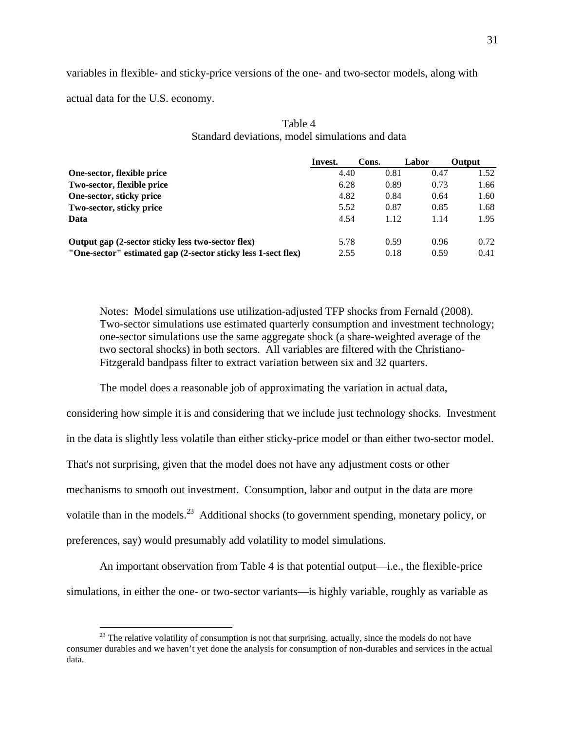variables in flexible- and sticky-price versions of the one- and two-sector models, along with

actual data for the U.S. economy.

1

|                                                               | Invest. | Cons. | Labor | <b>Output</b> |  |
|---------------------------------------------------------------|---------|-------|-------|---------------|--|
| One-sector, flexible price                                    | 4.40    | 0.81  | 0.47  | 1.52          |  |
| Two-sector, flexible price                                    | 6.28    | 0.89  | 0.73  | 1.66          |  |
| One-sector, sticky price                                      | 4.82    | 0.84  | 0.64  | 1.60          |  |
| Two-sector, sticky price                                      | 5.52    | 0.87  | 0.85  | 1.68          |  |
| Data                                                          | 4.54    | 1.12  | 1.14  | 1.95          |  |
| Output gap (2-sector sticky less two-sector flex)             | 5.78    | 0.59  | 0.96  | 0.72          |  |
| "One-sector" estimated gap (2-sector sticky less 1-sect flex) | 2.55    | 0.18  | 0.59  | 0.41          |  |

# Table 4 Standard deviations, model simulations and data

Notes: Model simulations use utilization-adjusted TFP shocks from Fernald (2008). Two-sector simulations use estimated quarterly consumption and investment technology; one-sector simulations use the same aggregate shock (a share-weighted average of the two sectoral shocks) in both sectors. All variables are filtered with the Christiano-Fitzgerald bandpass filter to extract variation between six and 32 quarters.

The model does a reasonable job of approximating the variation in actual data,

considering how simple it is and considering that we include just technology shocks. Investment in the data is slightly less volatile than either sticky-price model or than either two-sector model. That's not surprising, given that the model does not have any adjustment costs or other mechanisms to smooth out investment. Consumption, labor and output in the data are more volatile than in the models.<sup>23</sup> Additional shocks (to government spending, monetary policy, or preferences, say) would presumably add volatility to model simulations.

An important observation from Table 4 is that potential output—i.e., the flexible-price simulations, in either the one- or two-sector variants—is highly variable, roughly as variable as

 $^{23}$  The relative volatility of consumption is not that surprising, actually, since the models do not have consumer durables and we haven't yet done the analysis for consumption of non-durables and services in the actual data.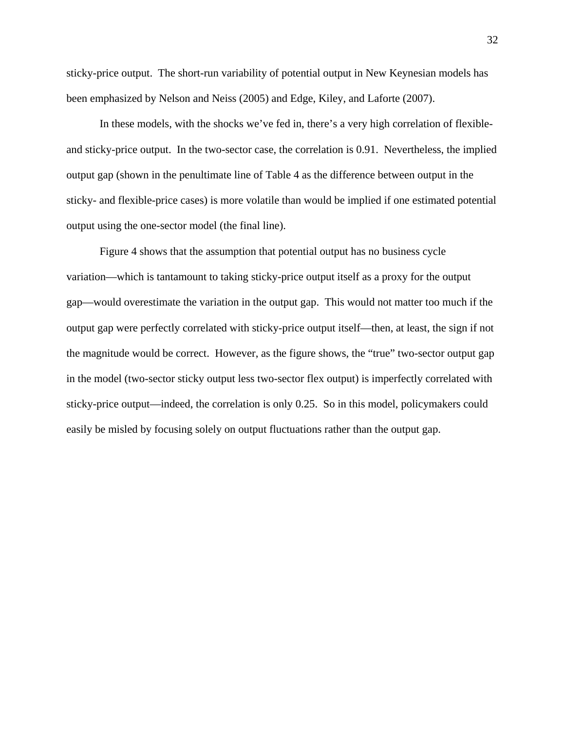sticky-price output. The short-run variability of potential output in New Keynesian models has been emphasized by Nelson and Neiss (2005) and Edge, Kiley, and Laforte (2007).

In these models, with the shocks we've fed in, there's a very high correlation of flexibleand sticky-price output. In the two-sector case, the correlation is 0.91. Nevertheless, the implied output gap (shown in the penultimate line of Table 4 as the difference between output in the sticky- and flexible-price cases) is more volatile than would be implied if one estimated potential output using the one-sector model (the final line).

Figure 4 shows that the assumption that potential output has no business cycle variation—which is tantamount to taking sticky-price output itself as a proxy for the output gap—would overestimate the variation in the output gap. This would not matter too much if the output gap were perfectly correlated with sticky-price output itself—then, at least, the sign if not the magnitude would be correct. However, as the figure shows, the "true" two-sector output gap in the model (two-sector sticky output less two-sector flex output) is imperfectly correlated with sticky-price output—indeed, the correlation is only 0.25. So in this model, policymakers could easily be misled by focusing solely on output fluctuations rather than the output gap.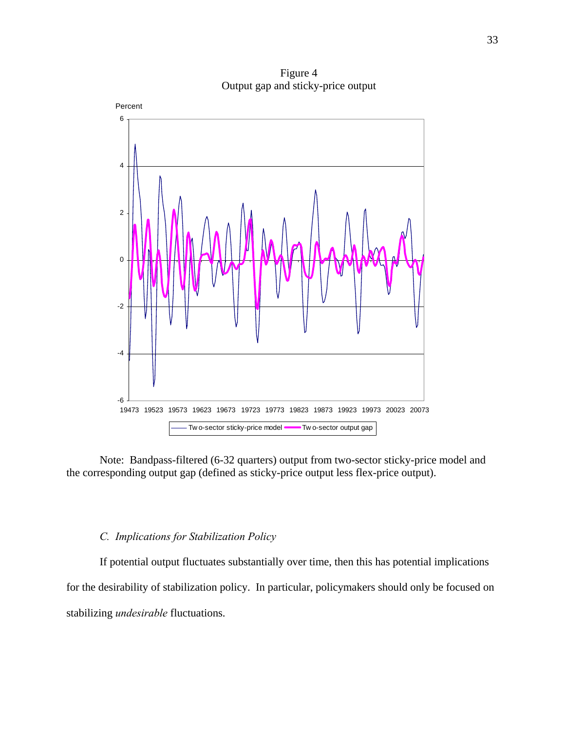-6 -4 -2 0 2 4 6 19473 19523 19573 19623 19673 19723 19773 19823 19873 19923 19973 20023 20073 Tw o-sector sticky-price model **Two-sector output gap** Percent

Figure 4 Output gap and sticky-price output

Note: Bandpass-filtered (6-32 quarters) output from two-sector sticky-price model and the corresponding output gap (defined as sticky-price output less flex-price output).

## *C. Implications for Stabilization Policy*

If potential output fluctuates substantially over time, then this has potential implications for the desirability of stabilization policy. In particular, policymakers should only be focused on stabilizing *undesirable* fluctuations.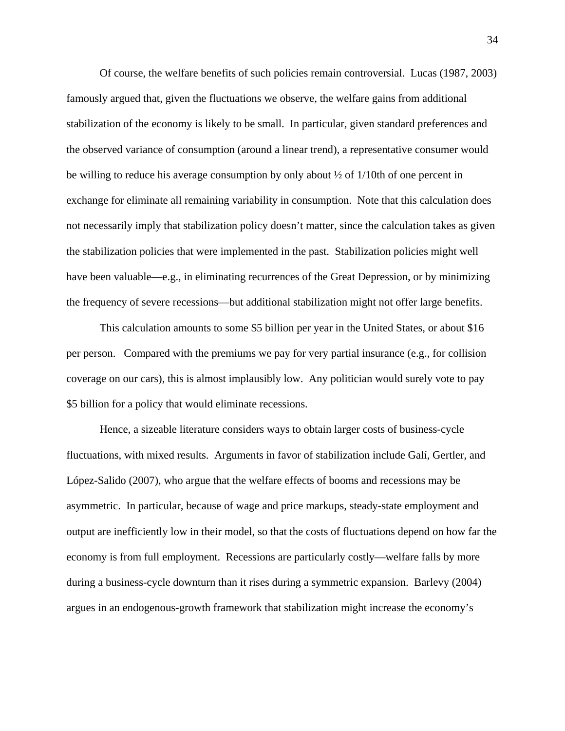Of course, the welfare benefits of such policies remain controversial. Lucas (1987, 2003) famously argued that, given the fluctuations we observe, the welfare gains from additional stabilization of the economy is likely to be small. In particular, given standard preferences and the observed variance of consumption (around a linear trend), a representative consumer would be willing to reduce his average consumption by only about  $\frac{1}{2}$  of 1/10th of one percent in exchange for eliminate all remaining variability in consumption. Note that this calculation does not necessarily imply that stabilization policy doesn't matter, since the calculation takes as given the stabilization policies that were implemented in the past. Stabilization policies might well have been valuable—e.g., in eliminating recurrences of the Great Depression, or by minimizing the frequency of severe recessions—but additional stabilization might not offer large benefits.

This calculation amounts to some \$5 billion per year in the United States, or about \$16 per person. Compared with the premiums we pay for very partial insurance (e.g., for collision coverage on our cars), this is almost implausibly low. Any politician would surely vote to pay \$5 billion for a policy that would eliminate recessions.

Hence, a sizeable literature considers ways to obtain larger costs of business-cycle fluctuations, with mixed results. Arguments in favor of stabilization include Galí, Gertler, and López-Salido (2007), who argue that the welfare effects of booms and recessions may be asymmetric. In particular, because of wage and price markups, steady-state employment and output are inefficiently low in their model, so that the costs of fluctuations depend on how far the economy is from full employment. Recessions are particularly costly—welfare falls by more during a business-cycle downturn than it rises during a symmetric expansion. Barlevy (2004) argues in an endogenous-growth framework that stabilization might increase the economy's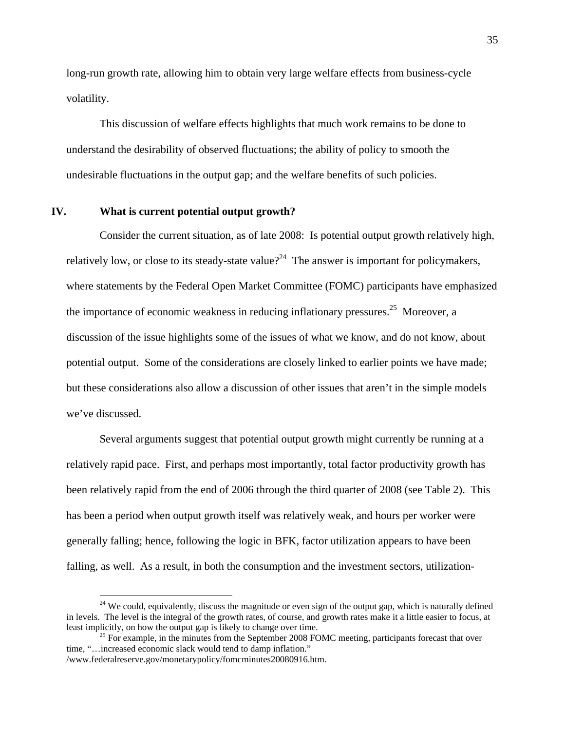long-run growth rate, allowing him to obtain very large welfare effects from business-cycle volatility.

This discussion of welfare effects highlights that much work remains to be done to understand the desirability of observed fluctuations; the ability of policy to smooth the undesirable fluctuations in the output gap; and the welfare benefits of such policies.

### **IV. What is current potential output growth?**

1

Consider the current situation, as of late 2008: Is potential output growth relatively high, relatively low, or close to its steady-state value?<sup>24</sup> The answer is important for policymakers, where statements by the Federal Open Market Committee (FOMC) participants have emphasized the importance of economic weakness in reducing inflationary pressures.<sup>25</sup> Moreover, a discussion of the issue highlights some of the issues of what we know, and do not know, about potential output. Some of the considerations are closely linked to earlier points we have made; but these considerations also allow a discussion of other issues that aren't in the simple models we've discussed.

Several arguments suggest that potential output growth might currently be running at a relatively rapid pace. First, and perhaps most importantly, total factor productivity growth has been relatively rapid from the end of 2006 through the third quarter of 2008 (see Table 2). This has been a period when output growth itself was relatively weak, and hours per worker were generally falling; hence, following the logic in BFK, factor utilization appears to have been falling, as well. As a result, in both the consumption and the investment sectors, utilization-

<sup>&</sup>lt;sup>24</sup> We could, equivalently, discuss the magnitude or even sign of the output gap, which is naturally defined in levels. The level is the integral of the growth rates, of course, and growth rates make it a little easier to focus, at least implicitly, on how the output gap is likely to change over time.<br><sup>25</sup> For example, in the minutes from the September 2008 FOMC meeting, participants forecast that over

time, "…increased economic slack would tend to damp inflation." /www.federalreserve.gov/monetarypolicy/fomcminutes20080916.htm.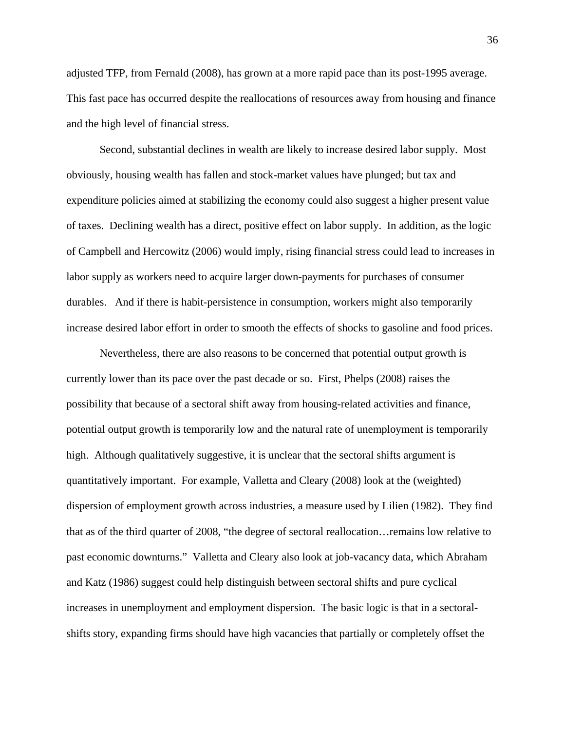adjusted TFP, from Fernald (2008), has grown at a more rapid pace than its post-1995 average. This fast pace has occurred despite the reallocations of resources away from housing and finance and the high level of financial stress.

Second, substantial declines in wealth are likely to increase desired labor supply. Most obviously, housing wealth has fallen and stock-market values have plunged; but tax and expenditure policies aimed at stabilizing the economy could also suggest a higher present value of taxes. Declining wealth has a direct, positive effect on labor supply. In addition, as the logic of Campbell and Hercowitz (2006) would imply, rising financial stress could lead to increases in labor supply as workers need to acquire larger down-payments for purchases of consumer durables. And if there is habit-persistence in consumption, workers might also temporarily increase desired labor effort in order to smooth the effects of shocks to gasoline and food prices.

Nevertheless, there are also reasons to be concerned that potential output growth is currently lower than its pace over the past decade or so. First, Phelps (2008) raises the possibility that because of a sectoral shift away from housing-related activities and finance, potential output growth is temporarily low and the natural rate of unemployment is temporarily high. Although qualitatively suggestive, it is unclear that the sectoral shifts argument is quantitatively important. For example, Valletta and Cleary (2008) look at the (weighted) dispersion of employment growth across industries, a measure used by Lilien (1982). They find that as of the third quarter of 2008, "the degree of sectoral reallocation…remains low relative to past economic downturns." Valletta and Cleary also look at job-vacancy data, which Abraham and Katz (1986) suggest could help distinguish between sectoral shifts and pure cyclical increases in unemployment and employment dispersion. The basic logic is that in a sectoralshifts story, expanding firms should have high vacancies that partially or completely offset the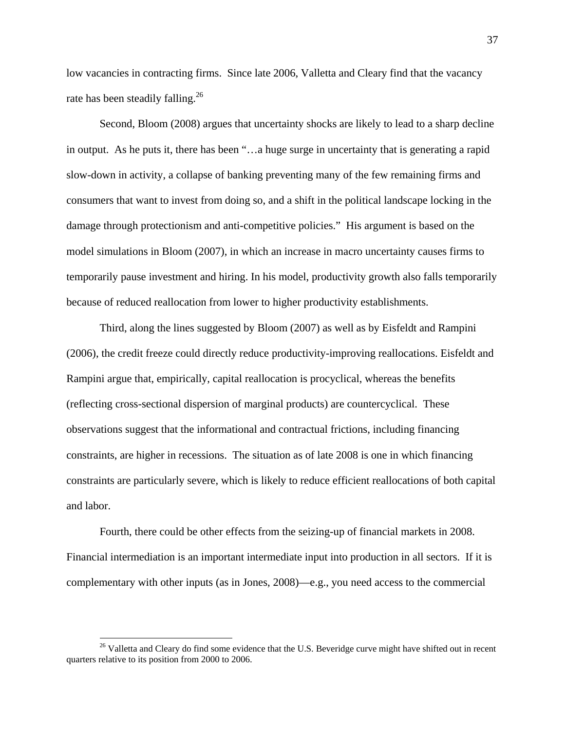low vacancies in contracting firms. Since late 2006, Valletta and Cleary find that the vacancy rate has been steadily falling.<sup>26</sup>

Second, Bloom (2008) argues that uncertainty shocks are likely to lead to a sharp decline in output. As he puts it, there has been "…a huge surge in uncertainty that is generating a rapid slow-down in activity, a collapse of banking preventing many of the few remaining firms and consumers that want to invest from doing so, and a shift in the political landscape locking in the damage through protectionism and anti-competitive policies." His argument is based on the model simulations in Bloom (2007), in which an increase in macro uncertainty causes firms to temporarily pause investment and hiring. In his model, productivity growth also falls temporarily because of reduced reallocation from lower to higher productivity establishments.

Third, along the lines suggested by Bloom (2007) as well as by Eisfeldt and Rampini (2006), the credit freeze could directly reduce productivity-improving reallocations. Eisfeldt and Rampini argue that, empirically, capital reallocation is procyclical, whereas the benefits (reflecting cross-sectional dispersion of marginal products) are countercyclical. These observations suggest that the informational and contractual frictions, including financing constraints, are higher in recessions. The situation as of late 2008 is one in which financing constraints are particularly severe, which is likely to reduce efficient reallocations of both capital and labor.

Fourth, there could be other effects from the seizing-up of financial markets in 2008. Financial intermediation is an important intermediate input into production in all sectors. If it is complementary with other inputs (as in Jones, 2008)—e.g., you need access to the commercial

1

<sup>&</sup>lt;sup>26</sup> Valletta and Cleary do find some evidence that the U.S. Beveridge curve might have shifted out in recent quarters relative to its position from 2000 to 2006.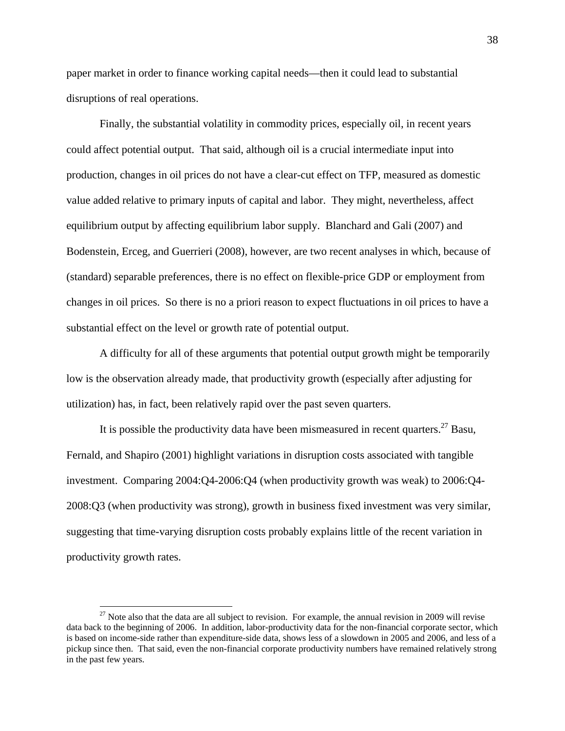paper market in order to finance working capital needs—then it could lead to substantial disruptions of real operations.

Finally, the substantial volatility in commodity prices, especially oil, in recent years could affect potential output. That said, although oil is a crucial intermediate input into production, changes in oil prices do not have a clear-cut effect on TFP, measured as domestic value added relative to primary inputs of capital and labor. They might, nevertheless, affect equilibrium output by affecting equilibrium labor supply. Blanchard and Gali (2007) and Bodenstein, Erceg, and Guerrieri (2008), however, are two recent analyses in which, because of (standard) separable preferences, there is no effect on flexible-price GDP or employment from changes in oil prices. So there is no a priori reason to expect fluctuations in oil prices to have a substantial effect on the level or growth rate of potential output.

A difficulty for all of these arguments that potential output growth might be temporarily low is the observation already made, that productivity growth (especially after adjusting for utilization) has, in fact, been relatively rapid over the past seven quarters.

It is possible the productivity data have been mismeasured in recent quarters.<sup>27</sup> Basu, Fernald, and Shapiro (2001) highlight variations in disruption costs associated with tangible investment. Comparing 2004:Q4-2006:Q4 (when productivity growth was weak) to 2006:Q4- 2008:Q3 (when productivity was strong), growth in business fixed investment was very similar, suggesting that time-varying disruption costs probably explains little of the recent variation in productivity growth rates.

 $27$  Note also that the data are all subject to revision. For example, the annual revision in 2009 will revise data back to the beginning of 2006. In addition, labor-productivity data for the non-financial corporate sector, which is based on income-side rather than expenditure-side data, shows less of a slowdown in 2005 and 2006, and less of a pickup since then. That said, even the non-financial corporate productivity numbers have remained relatively strong in the past few years.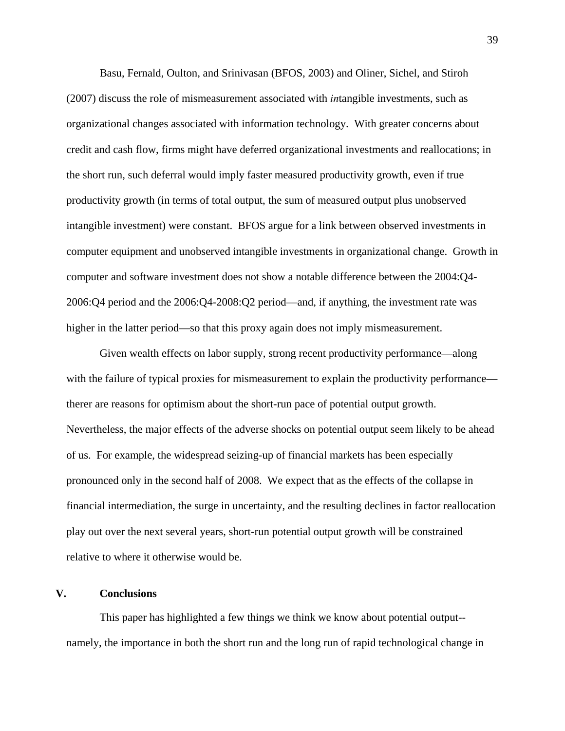Basu, Fernald, Oulton, and Srinivasan (BFOS, 2003) and Oliner, Sichel, and Stiroh (2007) discuss the role of mismeasurement associated with *in*tangible investments, such as organizational changes associated with information technology. With greater concerns about credit and cash flow, firms might have deferred organizational investments and reallocations; in the short run, such deferral would imply faster measured productivity growth, even if true productivity growth (in terms of total output, the sum of measured output plus unobserved intangible investment) were constant. BFOS argue for a link between observed investments in computer equipment and unobserved intangible investments in organizational change. Growth in computer and software investment does not show a notable difference between the 2004:Q4- 2006:Q4 period and the 2006:Q4-2008:Q2 period—and, if anything, the investment rate was higher in the latter period—so that this proxy again does not imply mismeasurement.

Given wealth effects on labor supply, strong recent productivity performance—along with the failure of typical proxies for mismeasurement to explain the productivity performance therer are reasons for optimism about the short-run pace of potential output growth. Nevertheless, the major effects of the adverse shocks on potential output seem likely to be ahead of us. For example, the widespread seizing-up of financial markets has been especially pronounced only in the second half of 2008. We expect that as the effects of the collapse in financial intermediation, the surge in uncertainty, and the resulting declines in factor reallocation play out over the next several years, short-run potential output growth will be constrained relative to where it otherwise would be.

### **V. Conclusions**

This paper has highlighted a few things we think we know about potential output- namely, the importance in both the short run and the long run of rapid technological change in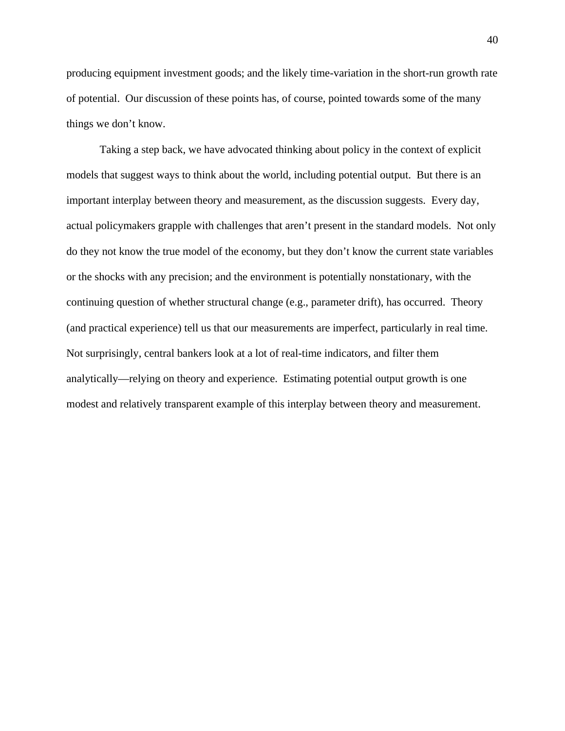producing equipment investment goods; and the likely time-variation in the short-run growth rate of potential. Our discussion of these points has, of course, pointed towards some of the many things we don't know.

Taking a step back, we have advocated thinking about policy in the context of explicit models that suggest ways to think about the world, including potential output. But there is an important interplay between theory and measurement, as the discussion suggests. Every day, actual policymakers grapple with challenges that aren't present in the standard models. Not only do they not know the true model of the economy, but they don't know the current state variables or the shocks with any precision; and the environment is potentially nonstationary, with the continuing question of whether structural change (e.g., parameter drift), has occurred. Theory (and practical experience) tell us that our measurements are imperfect, particularly in real time. Not surprisingly, central bankers look at a lot of real-time indicators, and filter them analytically—relying on theory and experience. Estimating potential output growth is one modest and relatively transparent example of this interplay between theory and measurement.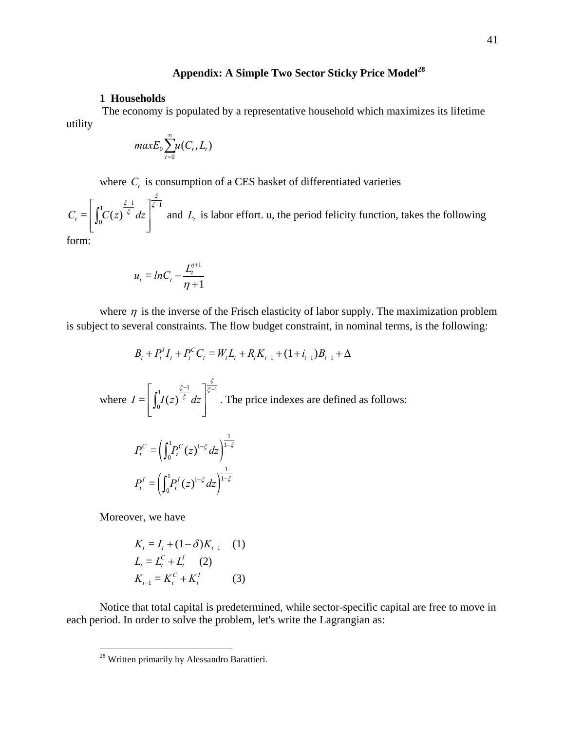# Appendix: A Simple Two Sector Sticky Price Model<sup>28</sup>

### **1 Households**

 The economy is populated by a representative household which maximizes its lifetime utility

$$
maxE_0\sum_{t=0}^{\infty}u(C_t,L_t)
$$

where  $C_t$  is consumption of a CES basket of differentiated varieties

1  $\frac{\xi - 1}{\xi}$   $\sqrt{\xi - 1}$  $C_t = \left| \int_0^1 C(z) \right|^{\xi} dz$  $\left[ \int_{C(\tau)}^{1} \frac{\xi-1}{\xi} d\tau \right]_{\xi}$  $\left[\int_0^1 C(z)^{\xi} dz\right]$  and  $L_t$  is labor effort. u, the period felicity function, takes the following

form:

$$
u_t = lnC_t - \frac{L_t^{\eta+1}}{\eta+1}
$$

where  $\eta$  is the inverse of the Frisch elasticity of labor supply. The maximization problem is subject to several constraints. The flow budget constraint, in nominal terms, is the following:

$$
B_t + P_t^I I_t + P_t^C C_t = W_t L_t + R_t K_{t-1} + (1 + i_{t-1})B_{t-1} + \Delta
$$
  
where  $I = \left[\int_0^1 I(z)^{\frac{\xi-1}{\xi}} dz\right]^{\frac{\xi}{\xi-1}}$ . The price indexes are defined as follows:

$$
P_t^C = \left(\int_0^1 P_t^C(z)^{1-\xi} dz\right)^{\frac{1}{1-\xi}}
$$

$$
P_t^I = \left(\int_0^1 P_t^I(z)^{1-\xi} dz\right)^{\frac{1}{1-\xi}}
$$

Moreover, we have

<u>.</u>

$$
K_{t} = I_{t} + (1 - \delta)K_{t-1} \quad (1)
$$
  
\n
$$
L_{t} = L_{t}^{C} + L_{t}^{I} \quad (2)
$$
  
\n
$$
K_{t-1} = K_{t}^{C} + K_{t}^{I} \quad (3)
$$

Notice that total capital is predetermined, while sector-specific capital are free to move in each period. In order to solve the problem, let's write the Lagrangian as:

<sup>&</sup>lt;sup>28</sup> Written primarily by Alessandro Barattieri.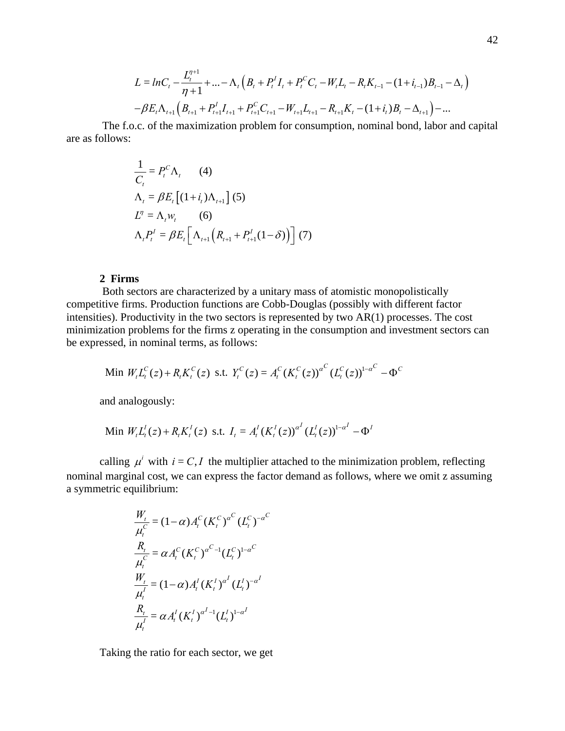$$
L = lnC_t - \frac{L_t^{\eta+1}}{\eta+1} + \dots - \Lambda_t \left( B_t + P_t^I I_t + P_t^C C_t - W_t L_t - R_t K_{t-1} - (1 + i_{t-1}) B_{t-1} - \Delta_t \right)
$$

$$
- \beta E_t \Lambda_{t+1} \left( B_{t+1} + P_{t+1}^I I_{t+1} + P_{t+1}^C C_{t+1} - W_{t+1} L_{t+1} - R_{t+1} K_t - (1 + i_t) B_t - \Delta_{t+1} \right) - \dots
$$

 The f.o.c. of the maximization problem for consumption, nominal bond, labor and capital are as follows:

$$
\frac{1}{C_t} = P_t^C \Lambda_t \qquad (4)
$$
  
\n
$$
\Lambda_t = \beta E_t \left[ (1 + i_t) \Lambda_{t+1} \right] (5)
$$
  
\n
$$
L^n = \Lambda_t w_t \qquad (6)
$$
  
\n
$$
\Lambda_t P_t^I = \beta E_t \left[ \Lambda_{t+1} \left( R_{t+1} + P_{t+1}^I (1 - \delta) \right) \right] (7)
$$

### **2 Firms**

 Both sectors are characterized by a unitary mass of atomistic monopolistically competitive firms. Production functions are Cobb-Douglas (possibly with different factor intensities). Productivity in the two sectors is represented by two AR(1) processes. The cost minimization problems for the firms z operating in the consumption and investment sectors can be expressed, in nominal terms, as follows:

Min 
$$
W_t L_t^C(z) + R_t K_t^C(z)
$$
 s.t.  $Y_t^C(z) = A_t^C (K_t^C(z))^{a^C} (L_t^C(z))^{1-a^C} - \Phi^C$ 

and analogously:

Min 
$$
W_t L_t^l(z) + R_t K_t^l(z)
$$
 s.t.  $I_t = A_t^l (K_t^l(z))^{\alpha^l} (L_t^l(z))^{1-\alpha^l} - \Phi^l$ 

calling  $\mu^i$  with  $i = C, I$  the multiplier attached to the minimization problem, reflecting nominal marginal cost, we can express the factor demand as follows, where we omit z assuming a symmetric equilibrium:

$$
\frac{W_t}{\mu_t^C} = (1 - \alpha) A_t^C (K_t^C)^{\alpha^C} (L_t^C)^{-\alpha^C}
$$
  
\n
$$
\frac{R_t}{\mu_t^C} = \alpha A_t^C (K_t^C)^{\alpha^C - 1} (L_t^C)^{1 - \alpha^C}
$$
  
\n
$$
\frac{W_t}{\mu_t^I} = (1 - \alpha) A_t^I (K_t^I)^{\alpha^I} (L_t^I)^{-\alpha^I}
$$
  
\n
$$
\frac{R_t}{\mu_t^I} = \alpha A_t^I (K_t^I)^{\alpha^I - 1} (L_t^I)^{1 - \alpha^I}
$$

Taking the ratio for each sector, we get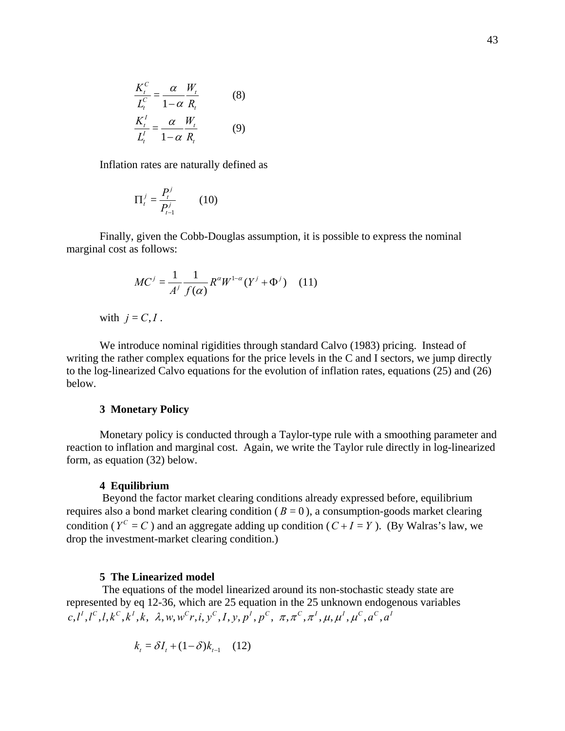$$
\frac{K_t^C}{L_t^C} = \frac{\alpha}{1-\alpha} \frac{W_t}{R_t}
$$
 (8)  

$$
\frac{K_t^I}{L_t^I} = \frac{\alpha}{1-\alpha} \frac{W_t}{R_t}
$$
 (9)

Inflation rates are naturally defined as

$$
\Pi_t^j = \frac{P_t^j}{P_{t-1}^j} \qquad (10)
$$

Finally, given the Cobb-Douglas assumption, it is possible to express the nominal marginal cost as follows:

$$
MC^{j} = \frac{1}{A^{j}} \frac{1}{f(\alpha)} R^{\alpha} W^{1-\alpha} (Y^{j} + \Phi^{j})
$$
 (11)

with  $j = C, I$ .

We introduce nominal rigidities through standard Calvo (1983) pricing. Instead of writing the rather complex equations for the price levels in the C and I sectors, we jump directly to the log-linearized Calvo equations for the evolution of inflation rates, equations (25) and (26) below.

### **3 Monetary Policy**

Monetary policy is conducted through a Taylor-type rule with a smoothing parameter and reaction to inflation and marginal cost. Again, we write the Taylor rule directly in log-linearized form, as equation (32) below.

#### **4 Equilibrium**

 Beyond the factor market clearing conditions already expressed before, equilibrium requires also a bond market clearing condition ( $B = 0$ ), a consumption-goods market clearing condition ( $Y^C = C$ ) and an aggregate adding up condition ( $C + I = Y$ ). (By Walras's law, we drop the investment-market clearing condition.)

#### **5 The Linearized model**

 The equations of the model linearized around its non-stochastic steady state are represented by eq 12-36, which are 25 equation in the 25 unknown endogenous variables  $c, l^I, l^C, l, k^C, k^I, k, \lambda, w, w^C r, i, v^C, I, v, p^I, p^C, \pi, \pi^C, \pi^I, \mu, \mu^I, \mu^C, a^C, a^I$ 

$$
k_t = \delta I_t + (1 - \delta)k_{t-1} \quad (12)
$$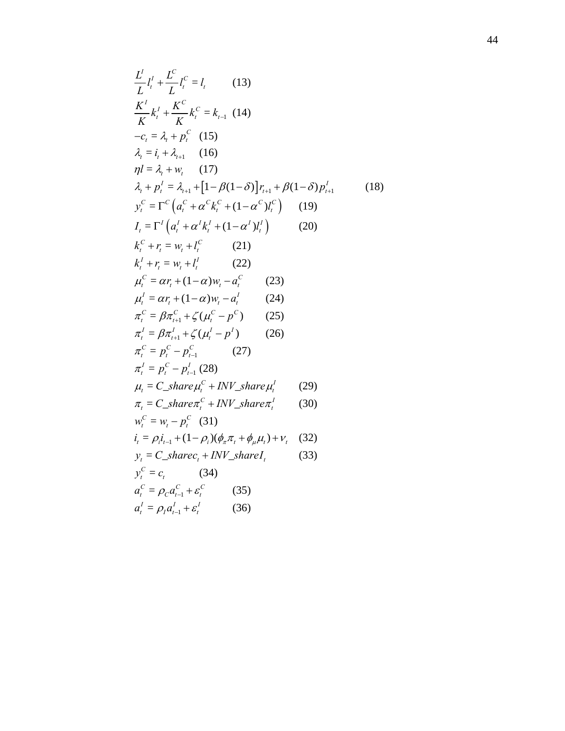$$
\frac{L^i}{L} l_i^l + \frac{L^c}{L} l_i^c = l_i
$$
 (13)  
\n
$$
\frac{K^i}{K} k_i^l + \frac{K^c}{K} k_i^c = k_{i-1}
$$
 (14)  
\n
$$
-c_i = \lambda_i + p_i^c
$$
 (15)  
\n
$$
\lambda_i = i_i + \lambda_{i+1}
$$
 (16)  
\n
$$
\eta l = \lambda_i + w_i
$$
 (17)  
\n
$$
\lambda_i + p_i^l = \lambda_{i+1} + [1 - \beta(1 - \delta)] r_{i+1} + \beta(1 - \delta) p_{i+1}^l
$$
 (18)  
\n
$$
y_i^c = \Gamma^c (a_i^c + \alpha^c k_i^c + (1 - \alpha^c) l_i^c)
$$
 (19)  
\n
$$
I_i = \Gamma^i (a_i^l + \alpha^l k_i^l + (1 - \alpha^l) l_i^l)
$$
 (20)  
\n
$$
k_i^c + r_i = w_i + l_i^c
$$
 (21)  
\n
$$
k_i^l + r_i = w_i + l_i^l
$$
 (22)  
\n
$$
\mu_i^c = \alpha r_i + (1 - \alpha) w_i - \alpha_i^l
$$
 (23)  
\n
$$
\mu_i^l = \alpha r_i + (1 - \alpha) w_i - \alpha_i^l
$$
 (24)  
\n
$$
\pi_i^c = \beta \pi_{i+1}^c + \zeta (\mu_i^c - p^c)
$$
 (25)  
\n
$$
\pi_i^l = \beta \pi_{i+1}^l + \zeta (u_i^l - p^l)
$$
 (26)  
\n
$$
\pi_i^c = p_i^c - p_{i-1}^c
$$
 (27)  
\n
$$
\pi_i^l = p_i^c - p_{i-1}^c
$$
 (27)  
\n
$$
\pi_i = C_s \text{har} \alpha \mu_i^c + \text{INV_s \text{har} \alpha \mu_i^l}
$$
 (30)  
\n
$$
w_i^c = w_i - p_i^c
$$
 (31)  
\n
$$
i_i = \rho_i i_{i-1} + (1 - \rho_i)(\phi_i \pi_i + \phi_{i+1}) + v_i
$$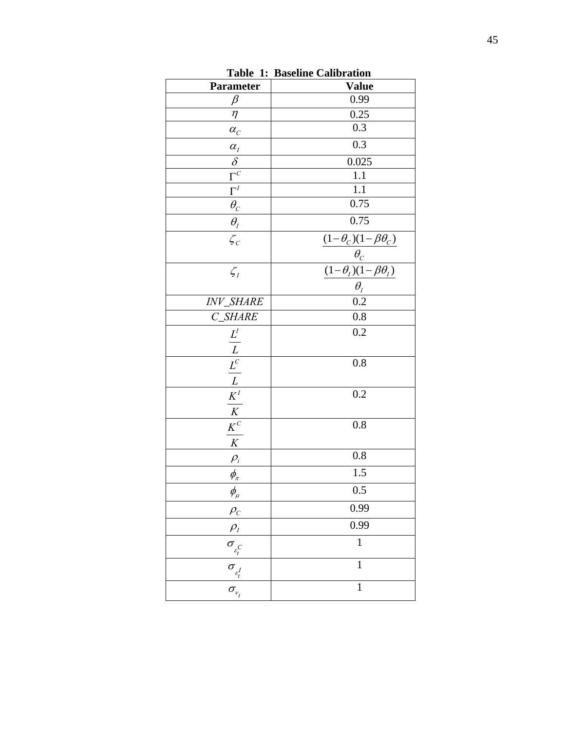| Parameter                                                                           | <b>Value</b>                                                                                            |
|-------------------------------------------------------------------------------------|---------------------------------------------------------------------------------------------------------|
| $\beta$                                                                             | 0.99                                                                                                    |
| $\eta$                                                                              | 0.25                                                                                                    |
| $\alpha_{\rm C}$                                                                    | 0.3                                                                                                     |
| $\alpha_{I}$                                                                        | 0.3                                                                                                     |
| $\overline{\delta}$                                                                 | 0.025                                                                                                   |
| $\overline{\Gamma^C}$                                                               | 1.1                                                                                                     |
| $\overline{\Gamma}^I$                                                               | $\overline{1.1}$                                                                                        |
| $\overline{\theta_{\rm C}}$                                                         | 0.75                                                                                                    |
| $\theta_{I}$                                                                        | 0.75                                                                                                    |
| $\zeta_c$                                                                           | $\frac{\frac{(1-\theta_c)(1-\beta\theta_c)}{\theta_c}}{\frac{(1-\theta_l)(1-\beta\theta_l)}{\theta_l}}$ |
|                                                                                     |                                                                                                         |
| $\zeta_I$                                                                           |                                                                                                         |
|                                                                                     |                                                                                                         |
| INV_SHARE                                                                           |                                                                                                         |
| C_SHARE                                                                             | 0.8                                                                                                     |
|                                                                                     | $\overline{0.2}$                                                                                        |
|                                                                                     |                                                                                                         |
|                                                                                     | 0.8                                                                                                     |
|                                                                                     |                                                                                                         |
| $\frac{L}{L}$ $\frac{L}{L}$ $\frac{L}{K}$ $\frac{K}{K}$ $\frac{K}{K}$ $\frac{K}{K}$ | 0.2                                                                                                     |
|                                                                                     |                                                                                                         |
|                                                                                     | 0.8                                                                                                     |
|                                                                                     |                                                                                                         |
| $\rho_i$                                                                            | $0.8\,$                                                                                                 |
| $\phi_{\scriptscriptstyle{\pi}}$                                                    | $1.5\,$                                                                                                 |
| $\phi_{\!\scriptscriptstyle\mu}$                                                    | 0.5                                                                                                     |
| $\rho_c$                                                                            | 0.99                                                                                                    |
| $\rho$ <sub>I</sub>                                                                 | 0.99                                                                                                    |
|                                                                                     | $\mathbf{1}$                                                                                            |
| $\frac{\sigma_{\varepsilon_{t}^{C}}}{\sigma_{\varepsilon_{t}^{I}}}$                 | $\mathbf{1}$                                                                                            |
|                                                                                     | $\mathbf{1}$                                                                                            |

**Table 1: Baseline Calibration**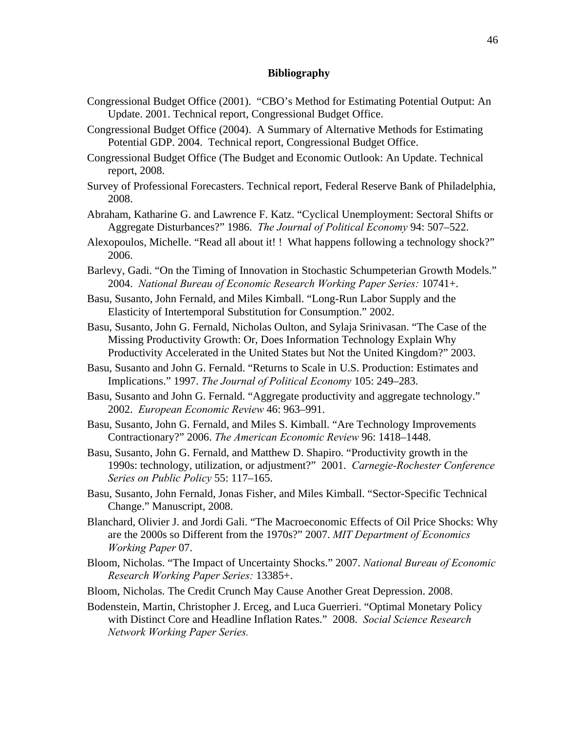### **Bibliography**

- Congressional Budget Office (2001). "CBO's Method for Estimating Potential Output: An Update. 2001. Technical report, Congressional Budget Office.
- Congressional Budget Office (2004). A Summary of Alternative Methods for Estimating Potential GDP. 2004. Technical report, Congressional Budget Office.
- Congressional Budget Office (The Budget and Economic Outlook: An Update. Technical report, 2008.
- Survey of Professional Forecasters. Technical report, Federal Reserve Bank of Philadelphia, 2008.
- Abraham, Katharine G. and Lawrence F. Katz. "Cyclical Unemployment: Sectoral Shifts or Aggregate Disturbances?" 1986. *The Journal of Political Economy* 94: 507–522.
- Alexopoulos, Michelle. "Read all about it! ! What happens following a technology shock?" 2006.
- Barlevy, Gadi. "On the Timing of Innovation in Stochastic Schumpeterian Growth Models." 2004. *National Bureau of Economic Research Working Paper Series:* 10741+.
- Basu, Susanto, John Fernald, and Miles Kimball. "Long-Run Labor Supply and the Elasticity of Intertemporal Substitution for Consumption." 2002.
- Basu, Susanto, John G. Fernald, Nicholas Oulton, and Sylaja Srinivasan. "The Case of the Missing Productivity Growth: Or, Does Information Technology Explain Why Productivity Accelerated in the United States but Not the United Kingdom?" 2003.
- Basu, Susanto and John G. Fernald. "Returns to Scale in U.S. Production: Estimates and Implications." 1997. *The Journal of Political Economy* 105: 249–283.
- Basu, Susanto and John G. Fernald. "Aggregate productivity and aggregate technology." 2002. *European Economic Review* 46: 963–991.
- Basu, Susanto, John G. Fernald, and Miles S. Kimball. "Are Technology Improvements Contractionary?" 2006. *The American Economic Review* 96: 1418–1448.
- Basu, Susanto, John G. Fernald, and Matthew D. Shapiro. "Productivity growth in the 1990s: technology, utilization, or adjustment?" 2001. *Carnegie-Rochester Conference Series on Public Policy* 55: 117–165.
- Basu, Susanto, John Fernald, Jonas Fisher, and Miles Kimball. "Sector-Specific Technical Change." Manuscript, 2008.
- Blanchard, Olivier J. and Jordi Gali. "The Macroeconomic Effects of Oil Price Shocks: Why are the 2000s so Different from the 1970s?" 2007. *MIT Department of Economics Working Paper* 07.
- Bloom, Nicholas. "The Impact of Uncertainty Shocks." 2007. *National Bureau of Economic Research Working Paper Series:* 13385+.
- Bloom, Nicholas. The Credit Crunch May Cause Another Great Depression. 2008.
- Bodenstein, Martin, Christopher J. Erceg, and Luca Guerrieri. "Optimal Monetary Policy with Distinct Core and Headline Inflation Rates." 2008. *Social Science Research Network Working Paper Series.*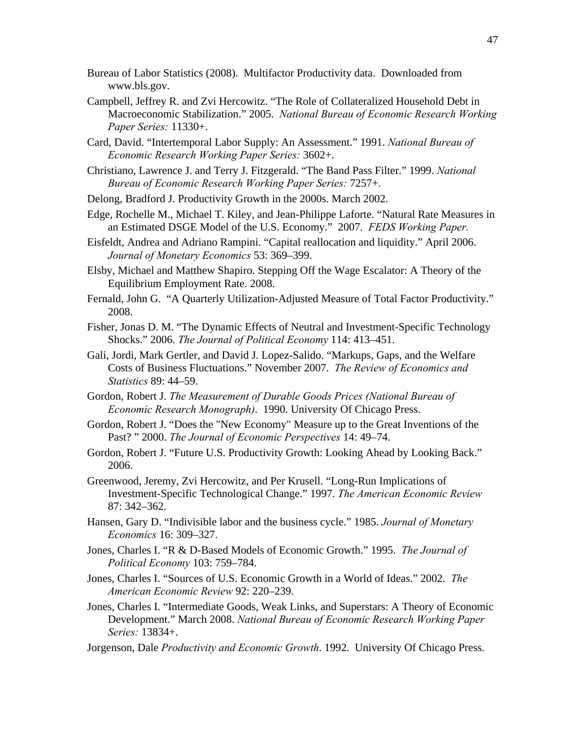- Bureau of Labor Statistics (2008). Multifactor Productivity data. Downloaded from www.bls.gov.
- Campbell, Jeffrey R. and Zvi Hercowitz. "The Role of Collateralized Household Debt in Macroeconomic Stabilization." 2005. *National Bureau of Economic Research Working Paper Series:* 11330+.
- Card, David. "Intertemporal Labor Supply: An Assessment." 1991. *National Bureau of Economic Research Working Paper Series:* 3602+.
- Christiano, Lawrence J. and Terry J. Fitzgerald. "The Band Pass Filter." 1999. *National Bureau of Economic Research Working Paper Series:* 7257+.
- Delong, Bradford J. Productivity Growth in the 2000s. March 2002.
- Edge, Rochelle M., Michael T. Kiley, and Jean-Philippe Laforte. "Natural Rate Measures in an Estimated DSGE Model of the U.S. Economy." 2007. *FEDS Working Paper.*
- Eisfeldt, Andrea and Adriano Rampini. "Capital reallocation and liquidity." April 2006. *Journal of Monetary Economics* 53: 369–399.
- Elsby, Michael and Matthew Shapiro. Stepping Off the Wage Escalator: A Theory of the Equilibrium Employment Rate. 2008.
- Fernald, John G. "A Quarterly Utilization-Adjusted Measure of Total Factor Productivity." 2008.
- Fisher, Jonas D. M. "The Dynamic Effects of Neutral and Investment-Specific Technology Shocks." 2006. *The Journal of Political Economy* 114: 413–451.
- Gali, Jordi, Mark Gertler, and David J. Lopez-Salido. "Markups, Gaps, and the Welfare Costs of Business Fluctuations." November 2007. *The Review of Economics and Statistics* 89: 44–59.
- Gordon, Robert J. *The Measurement of Durable Goods Prices (National Bureau of Economic Research Monograph)*. 1990. University Of Chicago Press.
- Gordon, Robert J. "Does the "New Economy" Measure up to the Great Inventions of the Past? " 2000. *The Journal of Economic Perspectives* 14: 49–74.
- Gordon, Robert J. "Future U.S. Productivity Growth: Looking Ahead by Looking Back." 2006.
- Greenwood, Jeremy, Zvi Hercowitz, and Per Krusell. "Long-Run Implications of Investment-Specific Technological Change." 1997. *The American Economic Review* 87: 342–362.
- Hansen, Gary D. "Indivisible labor and the business cycle." 1985. *Journal of Monetary Economics* 16: 309–327.
- Jones, Charles I. "R & D-Based Models of Economic Growth." 1995. *The Journal of Political Economy* 103: 759–784.
- Jones, Charles I. "Sources of U.S. Economic Growth in a World of Ideas." 2002. *The American Economic Review* 92: 220–239.
- Jones, Charles I. "Intermediate Goods, Weak Links, and Superstars: A Theory of Economic Development." March 2008. *National Bureau of Economic Research Working Paper Series:* 13834+.
- Jorgenson, Dale *Productivity and Economic Growth*. 1992. University Of Chicago Press.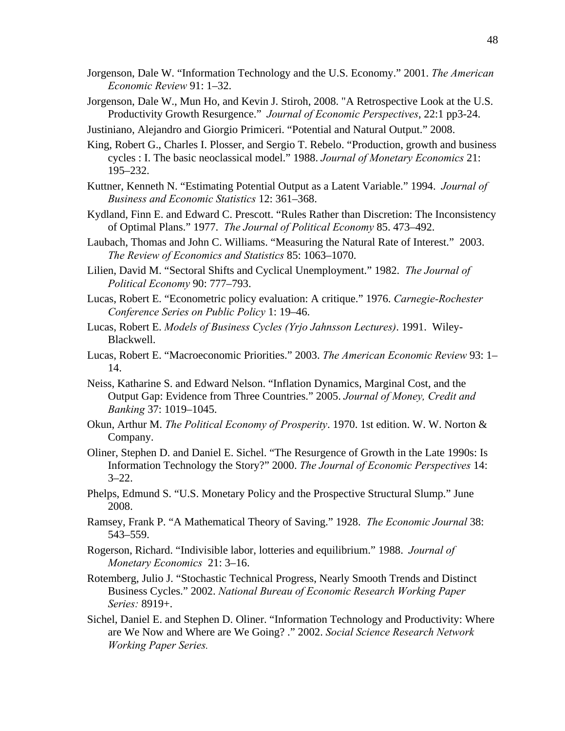- Jorgenson, Dale W. "Information Technology and the U.S. Economy." 2001. *The American Economic Review* 91: 1–32.
- Jorgenson, Dale W., Mun Ho, and Kevin J. Stiroh, 2008. "A Retrospective Look at the U.S. Productivity Growth Resurgence." *Journal of Economic Perspectives*, 22:1 pp3-24.
- Justiniano, Alejandro and Giorgio Primiceri. "Potential and Natural Output." 2008.
- King, Robert G., Charles I. Plosser, and Sergio T. Rebelo. "Production, growth and business cycles : I. The basic neoclassical model." 1988. *Journal of Monetary Economics* 21: 195–232.
- Kuttner, Kenneth N. "Estimating Potential Output as a Latent Variable." 1994. *Journal of Business and Economic Statistics* 12: 361–368.
- Kydland, Finn E. and Edward C. Prescott. "Rules Rather than Discretion: The Inconsistency of Optimal Plans." 1977. *The Journal of Political Economy* 85. 473–492.
- Laubach, Thomas and John C. Williams. "Measuring the Natural Rate of Interest." 2003. *The Review of Economics and Statistics* 85: 1063–1070.
- Lilien, David M. "Sectoral Shifts and Cyclical Unemployment." 1982. *The Journal of Political Economy* 90: 777–793.
- Lucas, Robert E. "Econometric policy evaluation: A critique." 1976. *Carnegie-Rochester Conference Series on Public Policy* 1: 19–46.
- Lucas, Robert E. *Models of Business Cycles (Yrjo Jahnsson Lectures)*. 1991. Wiley-Blackwell.
- Lucas, Robert E. "Macroeconomic Priorities." 2003. *The American Economic Review* 93: 1– 14.
- Neiss, Katharine S. and Edward Nelson. "Inflation Dynamics, Marginal Cost, and the Output Gap: Evidence from Three Countries." 2005. *Journal of Money, Credit and Banking* 37: 1019–1045.
- Okun, Arthur M. *The Political Economy of Prosperity*. 1970. 1st edition. W. W. Norton & Company.
- Oliner, Stephen D. and Daniel E. Sichel. "The Resurgence of Growth in the Late 1990s: Is Information Technology the Story?" 2000. *The Journal of Economic Perspectives* 14:  $3 - 22$ .
- Phelps, Edmund S. "U.S. Monetary Policy and the Prospective Structural Slump." June 2008.
- Ramsey, Frank P. "A Mathematical Theory of Saving." 1928. *The Economic Journal* 38: 543–559.
- Rogerson, Richard. "Indivisible labor, lotteries and equilibrium." 1988. *Journal of Monetary Economics* 21: 3–16.
- Rotemberg, Julio J. "Stochastic Technical Progress, Nearly Smooth Trends and Distinct Business Cycles." 2002. *National Bureau of Economic Research Working Paper Series:* 8919+.
- Sichel, Daniel E. and Stephen D. Oliner. "Information Technology and Productivity: Where are We Now and Where are We Going? ." 2002. *Social Science Research Network Working Paper Series.*